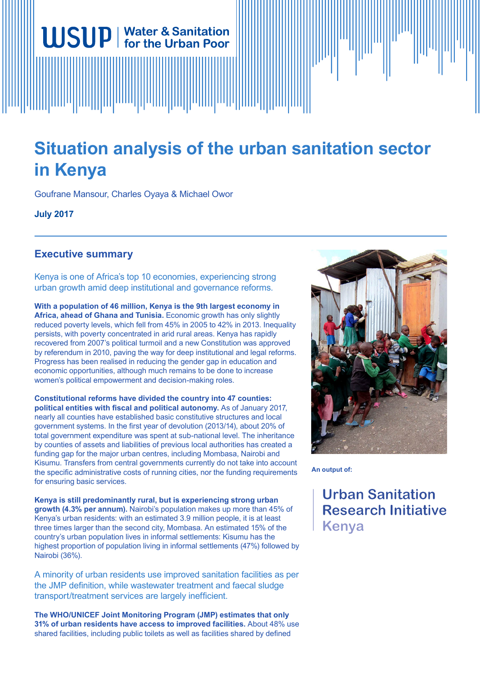# **Situation analysis of the urban sanitation sector in Kenya**

Goufrane Mansour, Charles Oyaya & Michael Owor

**WSUP** | Water & Sanitation

**July 2017**

## **Executive summary**

Kenya is one of Africa's top 10 economies, experiencing strong urban growth amid deep institutional and governance reforms.

**With a population of 46 million, Kenya is the 9th largest economy in Africa, ahead of Ghana and Tunisia.** Economic growth has only slightly reduced poverty levels, which fell from 45% in 2005 to 42% in 2013. Inequality persists, with poverty concentrated in arid rural areas. Kenya has rapidly recovered from 2007's political turmoil and a new Constitution was approved by referendum in 2010, paving the way for deep institutional and legal reforms. Progress has been realised in reducing the gender gap in education and economic opportunities, although much remains to be done to increase women's political empowerment and decision-making roles.

**Constitutional reforms have divided the country into 47 counties: political entities with fiscal and political autonomy.** As of January 2017, nearly all counties have established basic constitutive structures and local government systems. In the first year of devolution (2013/14), about 20% of total government expenditure was spent at sub-national level. The inheritance by counties of assets and liabilities of previous local authorities has created a funding gap for the major urban centres, including Mombasa, Nairobi and Kisumu. Transfers from central governments currently do not take into account the specific administrative costs of running cities, nor the funding requirements for ensuring basic services.

**Kenya is still predominantly rural, but is experiencing strong urban growth (4.3% per annum).** Nairobi's population makes up more than 45% of Kenya's urban residents: with an estimated 3.9 million people, it is at least three times larger than the second city, Mombasa. An estimated 15% of the country's urban population lives in informal settlements: Kisumu has the highest proportion of population living in informal settlements (47%) followed by Nairobi (36%).

A minority of urban residents use improved sanitation facilities as per the JMP definition, while wastewater treatment and faecal sludge transport/treatment services are largely inefficient.

**The WHO/UNICEF Joint Monitoring Program (JMP) estimates that only 31% of urban residents have access to improved facilities.** About 48% use shared facilities, including public toilets as well as facilities shared by defined



**An output of:**

**Urban Sanitation Research Initiative** Kenya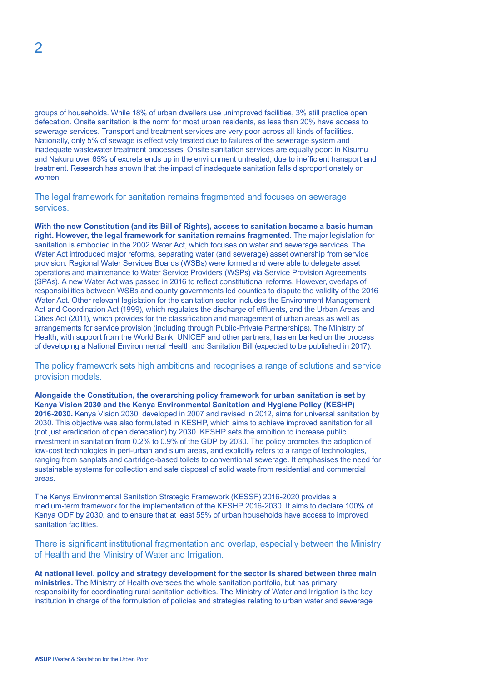groups of households. While 18% of urban dwellers use unimproved facilities, 3% still practice open defecation. Onsite sanitation is the norm for most urban residents, as less than 20% have access to sewerage services. Transport and treatment services are very poor across all kinds of facilities. Nationally, only 5% of sewage is effectively treated due to failures of the sewerage system and inadequate wastewater treatment processes. Onsite sanitation services are equally poor: in Kisumu and Nakuru over 65% of excreta ends up in the environment untreated, due to inefficient transport and treatment. Research has shown that the impact of inadequate sanitation falls disproportionately on women.

The legal framework for sanitation remains fragmented and focuses on sewerage services.

**With the new Constitution (and its Bill of Rights), access to sanitation became a basic human right. However, the legal framework for sanitation remains fragmented.** The major legislation for sanitation is embodied in the 2002 Water Act, which focuses on water and sewerage services. The Water Act introduced major reforms, separating water (and sewerage) asset ownership from service provision. Regional Water Services Boards (WSBs) were formed and were able to delegate asset operations and maintenance to Water Service Providers (WSPs) via Service Provision Agreements (SPAs). A new Water Act was passed in 2016 to reflect constitutional reforms. However, overlaps of responsibilities between WSBs and county governments led counties to dispute the validity of the 2016 Water Act. Other relevant legislation for the sanitation sector includes the Environment Management Act and Coordination Act (1999), which regulates the discharge of effluents, and the Urban Areas and Cities Act (2011), which provides for the classification and management of urban areas as well as arrangements for service provision (including through Public-Private Partnerships). The Ministry of Health, with support from the World Bank, UNICEF and other partners, has embarked on the process of developing a National Environmental Health and Sanitation Bill (expected to be published in 2017).

The policy framework sets high ambitions and recognises a range of solutions and service provision models.

**Alongside the Constitution, the overarching policy framework for urban sanitation is set by Kenya Vision 2030 and the Kenya Environmental Sanitation and Hygiene Policy (KESHP) 2016-2030.** Kenya Vision 2030, developed in 2007 and revised in 2012, aims for universal sanitation by 2030. This objective was also formulated in KESHP, which aims to achieve improved sanitation for all (not just eradication of open defecation) by 2030. KESHP sets the ambition to increase public investment in sanitation from 0.2% to 0.9% of the GDP by 2030. The policy promotes the adoption of low-cost technologies in peri-urban and slum areas, and explicitly refers to a range of technologies, ranging from sanplats and cartridge-based toilets to conventional sewerage. It emphasises the need for sustainable systems for collection and safe disposal of solid waste from residential and commercial areas.

The Kenya Environmental Sanitation Strategic Framework (KESSF) 2016-2020 provides a medium-term framework for the implementation of the KESHP 2016-2030. It aims to declare 100% of Kenya ODF by 2030, and to ensure that at least 55% of urban households have access to improved sanitation facilities.

There is significant institutional fragmentation and overlap, especially between the Ministry of Health and the Ministry of Water and Irrigation.

**At national level, policy and strategy development for the sector is shared between three main ministries.** The Ministry of Health oversees the whole sanitation portfolio, but has primary responsibility for coordinating rural sanitation activities. The Ministry of Water and Irrigation is the key institution in charge of the formulation of policies and strategies relating to urban water and sewerage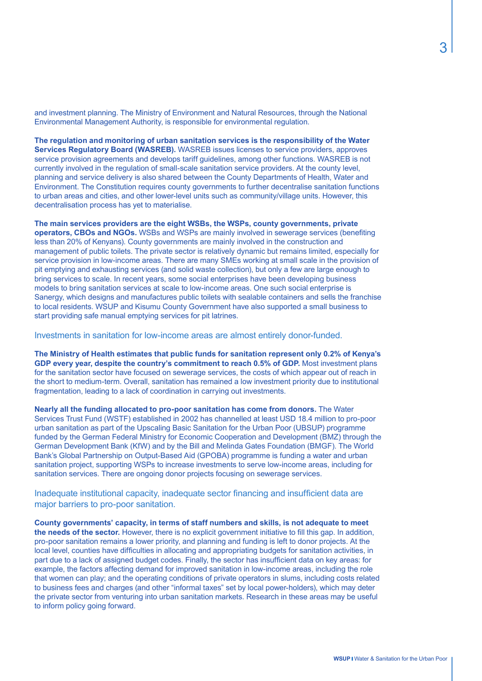and investment planning. The Ministry of Environment and Natural Resources, through the National Environmental Management Authority, is responsible for environmental regulation.

**The regulation and monitoring of urban sanitation services is the responsibility of the Water Services Regulatory Board (WASREB).** WASREB issues licenses to service providers, approves service provision agreements and develops tariff guidelines, among other functions. WASREB is not currently involved in the regulation of small-scale sanitation service providers. At the county level, planning and service delivery is also shared between the County Departments of Health, Water and Environment. The Constitution requires county governments to further decentralise sanitation functions to urban areas and cities, and other lower-level units such as community/village units. However, this decentralisation process has yet to materialise.

**The main services providers are the eight WSBs, the WSPs, county governments, private operators, CBOs and NGOs.** WSBs and WSPs are mainly involved in sewerage services (benefiting less than 20% of Kenyans). County governments are mainly involved in the construction and management of public toilets. The private sector is relatively dynamic but remains limited, especially for service provision in low-income areas. There are many SMEs working at small scale in the provision of pit emptying and exhausting services (and solid waste collection), but only a few are large enough to bring services to scale. In recent years, some social enterprises have been developing business models to bring sanitation services at scale to low-income areas. One such social enterprise is Sanergy, which designs and manufactures public toilets with sealable containers and sells the franchise to local residents. WSUP and Kisumu County Government have also supported a small business to start providing safe manual emptying services for pit latrines.

Investments in sanitation for low-income areas are almost entirely donor-funded.

**The Ministry of Health estimates that public funds for sanitation represent only 0.2% of Kenya's GDP every year, despite the country's commitment to reach 0.5% of GDP.** Most investment plans for the sanitation sector have focused on sewerage services, the costs of which appear out of reach in the short to medium-term. Overall, sanitation has remained a low investment priority due to institutional fragmentation, leading to a lack of coordination in carrying out investments.

**Nearly all the funding allocated to pro-poor sanitation has come from donors.** The Water Services Trust Fund (WSTF) established in 2002 has channelled at least USD 18.4 million to pro-poor urban sanitation as part of the Upscaling Basic Sanitation for the Urban Poor (UBSUP) programme funded by the German Federal Ministry for Economic Cooperation and Development (BMZ) through the German Development Bank (KfW) and by the Bill and Melinda Gates Foundation (BMGF). The World Bank's Global Partnership on Output-Based Aid (GPOBA) programme is funding a water and urban sanitation project, supporting WSPs to increase investments to serve low-income areas, including for sanitation services. There are ongoing donor projects focusing on sewerage services.

Inadequate institutional capacity, inadequate sector financing and insufficient data are major barriers to pro-poor sanitation.

**County governments' capacity, in terms of staff numbers and skills, is not adequate to meet the needs of the sector.** However, there is no explicit government initiative to fill this gap. In addition, pro-poor sanitation remains a lower priority, and planning and funding is left to donor projects. At the local level, counties have difficulties in allocating and appropriating budgets for sanitation activities, in part due to a lack of assigned budget codes. Finally, the sector has insufficient data on key areas: for example, the factors affecting demand for improved sanitation in low-income areas, including the role that women can play; and the operating conditions of private operators in slums, including costs related to business fees and charges (and other "informal taxes" set by local power-holders), which may deter the private sector from venturing into urban sanitation markets. Research in these areas may be useful to inform policy going forward.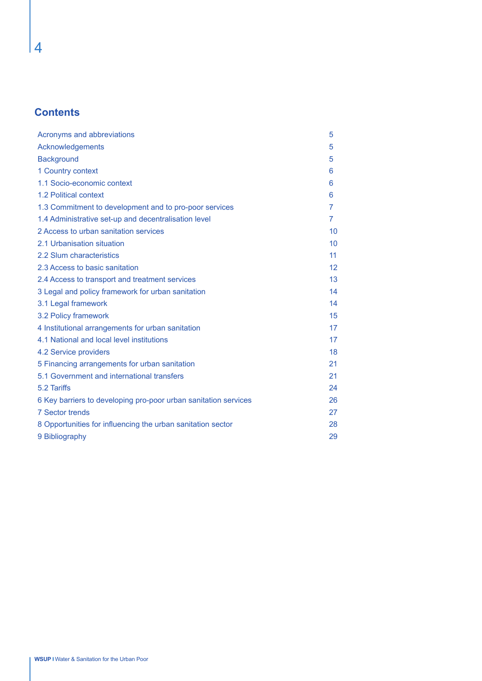# **Contents**

| Acronyms and abbreviations                                      | 5               |
|-----------------------------------------------------------------|-----------------|
| Acknowledgements                                                | 5               |
| <b>Background</b>                                               | 5               |
| 1 Country context                                               | 6               |
| 1.1 Socio-economic context                                      | 6               |
| 1.2 Political context                                           | 6               |
| 1.3 Commitment to development and to pro-poor services          | $\overline{7}$  |
| 1.4 Administrative set-up and decentralisation level            | $\overline{7}$  |
| 2 Access to urban sanitation services                           | 10              |
| 2.1 Urbanisation situation                                      | 10 <sup>1</sup> |
| 2.2 Slum characteristics                                        | 11              |
| 2.3 Access to basic sanitation                                  | 12 <sup>°</sup> |
| 2.4 Access to transport and treatment services                  | 13              |
| 3 Legal and policy framework for urban sanitation               | 14              |
| 3.1 Legal framework                                             | 14              |
| 3.2 Policy framework                                            | 15              |
| 4 Institutional arrangements for urban sanitation               | 17              |
| 4.1 National and local level institutions                       | 17              |
| 4.2 Service providers                                           | 18              |
| 5 Financing arrangements for urban sanitation                   | 21              |
| 5.1 Government and international transfers                      | 21              |
| 5.2 Tariffs                                                     | 24              |
| 6 Key barriers to developing pro-poor urban sanitation services | 26              |
| <b>7 Sector trends</b>                                          | 27              |
| 8 Opportunities for influencing the urban sanitation sector     | 28              |
| 9 Bibliography                                                  | 29              |

4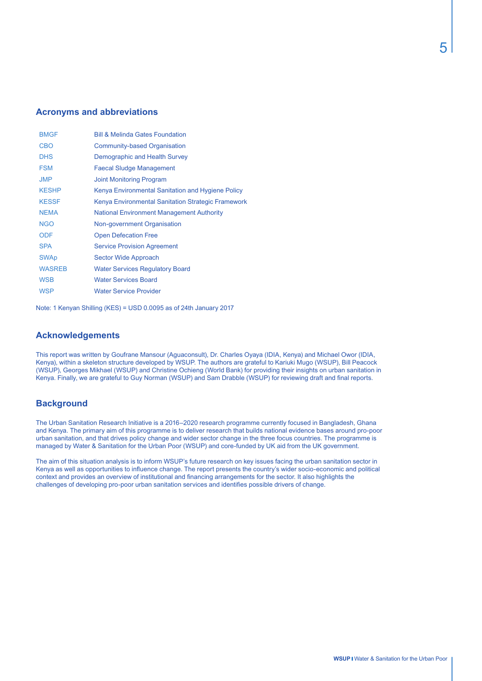#### **Acronyms and abbreviations**

| <b>BMGF</b>   | <b>Bill &amp; Melinda Gates Foundation</b>         |
|---------------|----------------------------------------------------|
| <b>CBO</b>    | Community-based Organisation                       |
| <b>DHS</b>    | Demographic and Health Survey                      |
| <b>FSM</b>    | <b>Faecal Sludge Management</b>                    |
| <b>JMP</b>    | <b>Joint Monitoring Program</b>                    |
| <b>KESHP</b>  | Kenya Environmental Sanitation and Hygiene Policy  |
| <b>KESSF</b>  | Kenya Environmental Sanitation Strategic Framework |
| <b>NEMA</b>   | <b>National Environment Management Authority</b>   |
| <b>NGO</b>    | Non-government Organisation                        |
| <b>ODF</b>    | <b>Open Defecation Free</b>                        |
| <b>SPA</b>    | <b>Service Provision Agreement</b>                 |
| <b>SWAp</b>   | Sector Wide Approach                               |
| <b>WASREB</b> | <b>Water Services Regulatory Board</b>             |
| <b>WSB</b>    | <b>Water Services Board</b>                        |
| <b>WSP</b>    | <b>Water Service Provider</b>                      |
|               |                                                    |

Note: 1 Kenyan Shilling (KES) = USD 0.0095 as of 24th January 2017

#### **Acknowledgements**

This report was written by Goufrane Mansour (Aguaconsult), Dr. Charles Oyaya (IDIA, Kenya) and Michael Owor (IDIA, Kenya), within a skeleton structure developed by WSUP. The authors are grateful to Kariuki Mugo (WSUP), Bill Peacock (WSUP), Georges Mikhael (WSUP) and Christine Ochieng (World Bank) for providing their insights on urban sanitation in Kenya. Finally, we are grateful to Guy Norman (WSUP) and Sam Drabble (WSUP) for reviewing draft and final reports.

### **Background**

The Urban Sanitation Research Initiative is a 2016–2020 research programme currently focused in Bangladesh, Ghana and Kenya. The primary aim of this programme is to deliver research that builds national evidence bases around pro-poor urban sanitation, and that drives policy change and wider sector change in the three focus countries. The programme is managed by Water & Sanitation for the Urban Poor (WSUP) and core-funded by UK aid from the UK government.

The aim of this situation analysis is to inform WSUP's future research on key issues facing the urban sanitation sector in Kenya as well as opportunities to influence change. The report presents the country's wider socio-economic and political context and provides an overview of institutional and financing arrangements for the sector. It also highlights the challenges of developing pro-poor urban sanitation services and identifies possible drivers of change.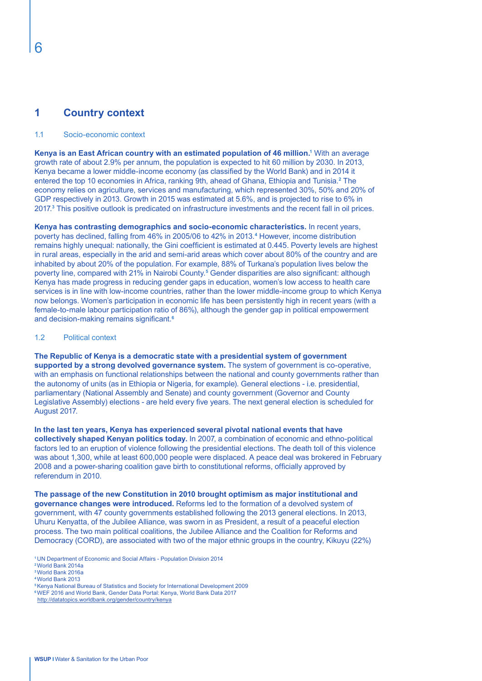# **1 Country context**

#### 1.1 Socio-economic context

**Kenya is an East African country with an estimated population of 46 million.1** With an average growth rate of about 2.9% per annum, the population is expected to hit 60 million by 2030. In 2013, Kenya became a lower middle-income economy (as classified by the World Bank) and in 2014 it entered the top 10 economies in Africa, ranking 9th, ahead of Ghana, Ethiopia and Tunisia.**<sup>2</sup>** The economy relies on agriculture, services and manufacturing, which represented 30%, 50% and 20% of GDP respectively in 2013. Growth in 2015 was estimated at 5.6%, and is projected to rise to 6% in 2017.**<sup>3</sup>** This positive outlook is predicated on infrastructure investments and the recent fall in oil prices.

**Kenya has contrasting demographics and socio-economic characteristics.** In recent years, poverty has declined, falling from 46% in 2005/06 to 42% in 2013.**<sup>4</sup>** However, income distribution remains highly unequal: nationally, the Gini coefficient is estimated at 0.445. Poverty levels are highest in rural areas, especially in the arid and semi-arid areas which cover about 80% of the country and are inhabited by about 20% of the population. For example, 88% of Turkana's population lives below the poverty line, compared with 21% in Nairobi County.**<sup>5</sup>** Gender disparities are also significant: although Kenya has made progress in reducing gender gaps in education, women's low access to health care services is in line with low-income countries, rather than the lower middle-income group to which Kenya now belongs. Women's participation in economic life has been persistently high in recent years (with a female-to-male labour participation ratio of 86%), although the gender gap in political empowerment and decision-making remains significant.**<sup>6</sup>**

#### 1.2 Political context

**The Republic of Kenya is a democratic state with a presidential system of government supported by a strong devolved governance system.** The system of government is co-operative, with an emphasis on functional relationships between the national and county governments rather than the autonomy of units (as in Ethiopia or Nigeria, for example). General elections - i.e. presidential, parliamentary (National Assembly and Senate) and county government (Governor and County Legislative Assembly) elections - are held every five years. The next general election is scheduled for August 2017.

**In the last ten years, Kenya has experienced several pivotal national events that have collectively shaped Kenyan politics today.** In 2007, a combination of economic and ethno-political factors led to an eruption of violence following the presidential elections. The death toll of this violence was about 1,300, while at least 600,000 people were displaced. A peace deal was brokered in February 2008 and a power-sharing coalition gave birth to constitutional reforms, officially approved by referendum in 2010.

**The passage of the new Constitution in 2010 brought optimism as major institutional and governance changes were introduced.** Reforms led to the formation of a devolved system of government, with 47 county governments established following the 2013 general elections. In 2013, Uhuru Kenyatta, of the Jubilee Alliance, was sworn in as President, a result of a peaceful election process. The two main political coalitions, the Jubilee Alliance and the Coalition for Reforms and Democracy (CORD), are associated with two of the major ethnic groups in the country, Kikuyu (22%)

- **<sup>1</sup>**UN Department of Economic and Social Affairs Population Division 2014
- **<sup>2</sup>**World Bank 2014a

http://datatopics.worldbank.org/gender/country/kenya

**<sup>3</sup>**World Bank 2016a

**<sup>4</sup>**World Bank 2013

**<sup>5</sup>**Kenya National Bureau of Statistics and Society for International Development 2009

**<sup>6</sup>**WEF 2016 and World Bank, Gender Data Portal: Kenya, World Bank Data 2017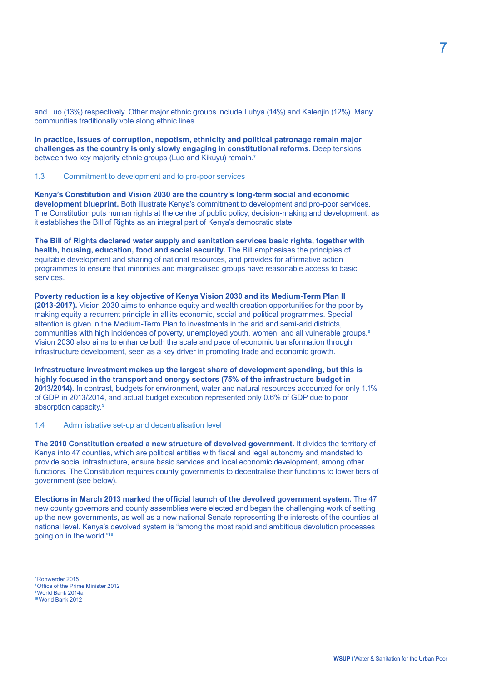and Luo (13%) respectively. Other major ethnic groups include Luhya (14%) and Kalenjin (12%). Many communities traditionally vote along ethnic lines.

**In practice, issues of corruption, nepotism, ethnicity and political patronage remain major challenges as the country is only slowly engaging in constitutional reforms.** Deep tensions between two key majority ethnic groups (Luo and Kikuyu) remain.**<sup>7</sup>**

1.3 Commitment to development and to pro-poor services

**Kenya's Constitution and Vision 2030 are the country's long-term social and economic development blueprint.** Both illustrate Kenya's commitment to development and pro-poor services. The Constitution puts human rights at the centre of public policy, decision-making and development, as it establishes the Bill of Rights as an integral part of Kenya's democratic state.

**The Bill of Rights declared water supply and sanitation services basic rights, together with health, housing, education, food and social security.** The Bill emphasises the principles of equitable development and sharing of national resources, and provides for affirmative action programmes to ensure that minorities and marginalised groups have reasonable access to basic services.

**Poverty reduction is a key objective of Kenya Vision 2030 and its Medium-Term Plan II (2013-2017).** Vision 2030 aims to enhance equity and wealth creation opportunities for the poor by making equity a recurrent principle in all its economic, social and political programmes. Special attention is given in the Medium-Term Plan to investments in the arid and semi-arid districts, communities with high incidences of poverty, unemployed youth, women, and all vulnerable groups.**<sup>8</sup>** Vision 2030 also aims to enhance both the scale and pace of economic transformation through infrastructure development, seen as a key driver in promoting trade and economic growth.

**Infrastructure investment makes up the largest share of development spending, but this is highly focused in the transport and energy sectors (75% of the infrastructure budget in 2013/2014).** In contrast, budgets for environment, water and natural resources accounted for only 1.1% of GDP in 2013/2014, and actual budget execution represented only 0.6% of GDP due to poor absorption capacity.**<sup>9</sup>**

1.4 Administrative set-up and decentralisation level

**The 2010 Constitution created a new structure of devolved government.** It divides the territory of Kenya into 47 counties, which are political entities with fiscal and legal autonomy and mandated to provide social infrastructure, ensure basic services and local economic development, among other functions. The Constitution requires county governments to decentralise their functions to lower tiers of government (see below).

**Elections in March 2013 marked the official launch of the devolved government system.** The 47 new county governors and county assemblies were elected and began the challenging work of setting up the new governments, as well as a new national Senate representing the interests of the counties at national level. Kenya's devolved system is "among the most rapid and ambitious devolution processes going on in the world."**<sup>10</sup>**

Rohwerder 2015 Office of the Prime Minister 2012 World Bank 2014a World Bank 2012

7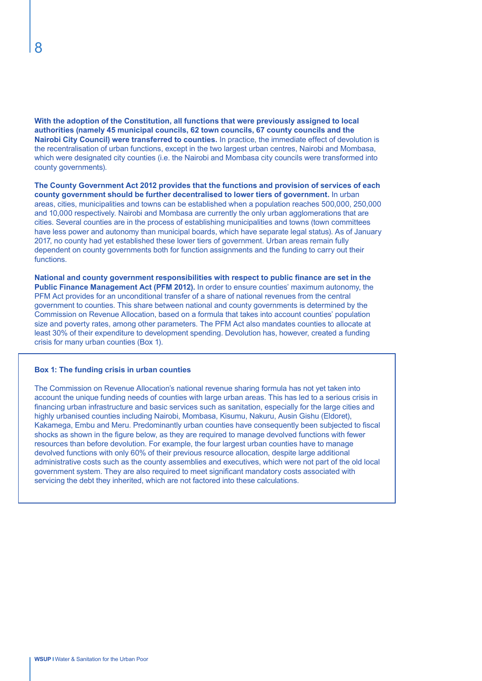**With the adoption of the Constitution, all functions that were previously assigned to local authorities (namely 45 municipal councils, 62 town councils, 67 county councils and the Nairobi City Council) were transferred to counties.** In practice, the immediate effect of devolution is the recentralisation of urban functions, except in the two largest urban centres, Nairobi and Mombasa, which were designated city counties (i.e. the Nairobi and Mombasa city councils were transformed into county governments).

**The County Government Act 2012 provides that the functions and provision of services of each county government should be further decentralised to lower tiers of government.** In urban areas, cities, municipalities and towns can be established when a population reaches 500,000, 250,000 and 10,000 respectively. Nairobi and Mombasa are currently the only urban agglomerations that are cities. Several counties are in the process of establishing municipalities and towns (town committees have less power and autonomy than municipal boards, which have separate legal status). As of January 2017, no county had yet established these lower tiers of government. Urban areas remain fully dependent on county governments both for function assignments and the funding to carry out their functions.

**National and county government responsibilities with respect to public finance are set in the Public Finance Management Act (PFM 2012).** In order to ensure counties' maximum autonomy, the PFM Act provides for an unconditional transfer of a share of national revenues from the central government to counties. This share between national and county governments is determined by the Commission on Revenue Allocation, based on a formula that takes into account counties' population size and poverty rates, among other parameters. The PFM Act also mandates counties to allocate at least 30% of their expenditure to development spending. Devolution has, however, created a funding crisis for many urban counties (Box 1).

#### **Box 1: The funding crisis in urban counties**

The Commission on Revenue Allocation's national revenue sharing formula has not yet taken into account the unique funding needs of counties with large urban areas. This has led to a serious crisis in financing urban infrastructure and basic services such as sanitation, especially for the large cities and highly urbanised counties including Nairobi, Mombasa, Kisumu, Nakuru, Ausin Gishu (Eldoret), Kakamega, Embu and Meru. Predominantly urban counties have consequently been subjected to fiscal shocks as shown in the figure below, as they are required to manage devolved functions with fewer resources than before devolution. For example, the four largest urban counties have to manage devolved functions with only 60% of their previous resource allocation, despite large additional administrative costs such as the county assemblies and executives, which were not part of the old local government system. They are also required to meet significant mandatory costs associated with servicing the debt they inherited, which are not factored into these calculations.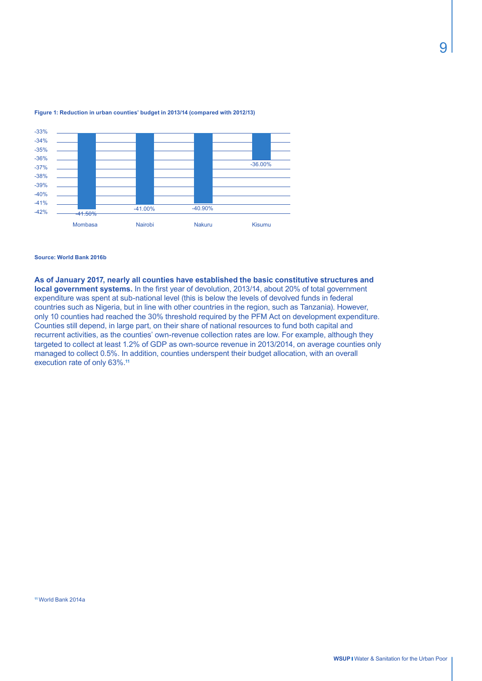

#### **Figure 1: Reduction in urban counties' budget in 2013/14 (compared with 2012/13)**

#### **Source: World Bank 2016b**

**As of January 2017, nearly all counties have established the basic constitutive structures and local government systems.** In the first year of devolution, 2013/14, about 20% of total government expenditure was spent at sub-national level (this is below the levels of devolved funds in federal countries such as Nigeria, but in line with other countries in the region, such as Tanzania). However, only 10 counties had reached the 30% threshold required by the PFM Act on development expenditure. Counties still depend, in large part, on their share of national resources to fund both capital and recurrent activities, as the counties' own-revenue collection rates are low. For example, although they targeted to collect at least 1.2% of GDP as own-source revenue in 2013/2014, on average counties only managed to collect 0.5%. In addition, counties underspent their budget allocation, with an overall execution rate of only 63%.**<sup>11</sup>**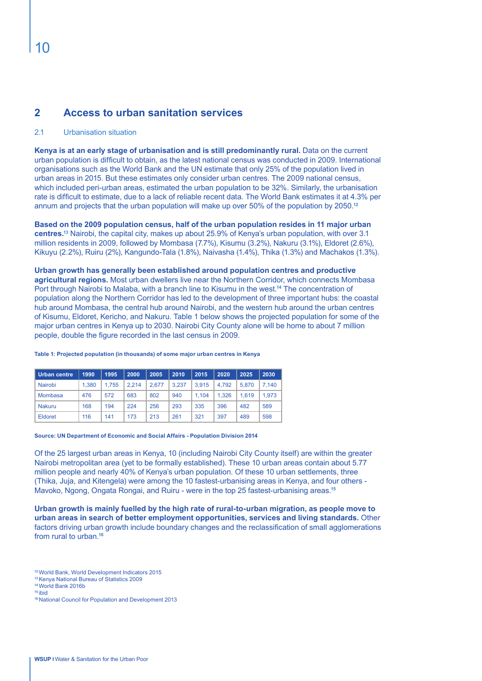# **2 Access to urban sanitation services**

#### 2.1 Urbanisation situation

**Kenya is at an early stage of urbanisation and is still predominantly rural.** Data on the current urban population is difficult to obtain, as the latest national census was conducted in 2009. International organisations such as the World Bank and the UN estimate that only 25% of the population lived in urban areas in 2015. But these estimates only consider urban centres. The 2009 national census, which included peri-urban areas, estimated the urban population to be 32%. Similarly, the urbanisation rate is difficult to estimate, due to a lack of reliable recent data. The World Bank estimates it at 4.3% per annum and projects that the urban population will make up over 50% of the population by 2050.**<sup>12</sup>**

**Based on the 2009 population census, half of the urban population resides in 11 major urban centres.13** Nairobi, the capital city, makes up about 25.9% of Kenya's urban population, with over 3.1 million residents in 2009, followed by Mombasa (7.7%), Kisumu (3.2%), Nakuru (3.1%), Eldoret (2.6%), Kikuyu (2.2%), Ruiru (2%), Kangundo-Tala (1.8%), Naivasha (1.4%), Thika (1.3%) and Machakos (1.3%).

**Urban growth has generally been established around population centres and productive agricultural regions.** Most urban dwellers live near the Northern Corridor, which connects Mombasa Port through Nairobi to Malaba, with a branch line to Kisumu in the west.**<sup>14</sup>** The concentration of population along the Northern Corridor has led to the development of three important hubs: the coastal hub around Mombasa, the central hub around Nairobi, and the western hub around the urban centres of Kisumu, Eldoret, Kericho, and Nakuru. Table 1 below shows the projected population for some of the major urban centres in Kenya up to 2030. Nairobi City County alone will be home to about 7 million people, double the figure recorded in the last census in 2009.

| Urban centre   | 1990  | 1995  | 2000  | 2005  | 2010  | 2015  | 2020  | 2025  | 2030  |
|----------------|-------|-------|-------|-------|-------|-------|-------|-------|-------|
| Nairobi        | 1.380 | 1.755 | 2.214 | 2.677 | 3.237 | 3.915 | 4.792 | 5.870 | 7.140 |
| <b>Mombasa</b> | 476   | 572   | 683   | 802   | 940   | 1.104 | 1.326 | 1.619 | 1.973 |
| <b>Nakuru</b>  | 168   | 194   | 224   | 256   | 293   | 335   | 396   | 482   | 589   |
| Eldoret        | 116   | 141   | 173   | 213   | 261   | 321   | 397   | 489   | 598   |

#### **Table 1: Projected population (in thousands) of some major urban centres in Kenya**

#### **Source: UN Department of Economic and Social Affairs - Population Division 2014**

Of the 25 largest urban areas in Kenya, 10 (including Nairobi City County itself) are within the greater Nairobi metropolitan area (yet to be formally established). These 10 urban areas contain about 5.77 million people and nearly 40% of Kenya's urban population. Of these 10 urban settlements, three (Thika, Juja, and Kitengela) were among the 10 fastest-urbanising areas in Kenya, and four others - Mavoko, Ngong, Ongata Rongai, and Ruiru - were in the top 25 fastest-urbanising areas.**<sup>15</sup>**

**Urban growth is mainly fuelled by the high rate of rural-to-urban migration, as people move to urban areas in search of better employment opportunities, services and living standards.** Other factors driving urban growth include boundary changes and the reclassification of small agglomerations from rural to urban.**<sup>16</sup>**

**<sup>12</sup>**World Bank, World Development Indicators 2015

**<sup>13</sup>**Kenya National Bureau of Statistics 2009

**<sup>14</sup>**World Bank 2016b **<sup>15</sup>**ibid

**<sup>16</sup>** National Council for Population and Development 2013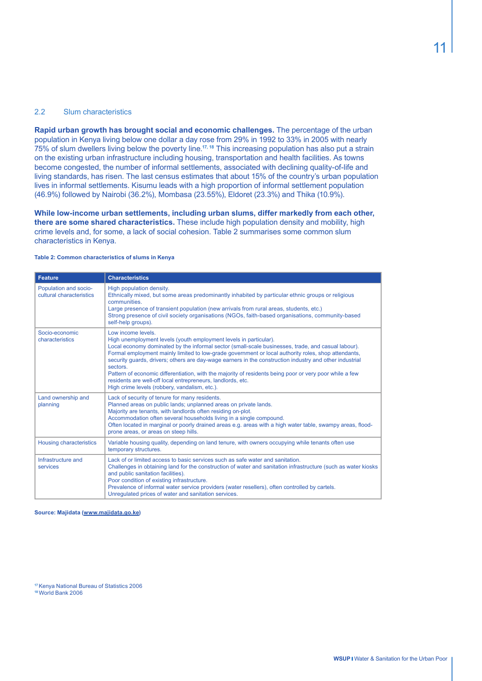#### 2.2 Slum characteristics

**Rapid urban growth has brought social and economic challenges.** The percentage of the urban population in Kenya living below one dollar a day rose from 29% in 1992 to 33% in 2005 with nearly 75% of slum dwellers living below the poverty line.**17, 18** This increasing population has also put a strain on the existing urban infrastructure including housing, transportation and health facilities. As towns become congested, the number of informal settlements, associated with declining quality-of-life and living standards, has risen. The last census estimates that about 15% of the country's urban population lives in informal settlements. Kisumu leads with a high proportion of informal settlement population (46.9%) followed by Nairobi (36.2%), Mombasa (23.55%), Eldoret (23.3%) and Thika (10.9%).

**While low-income urban settlements, including urban slums, differ markedly from each other, there are some shared characteristics.** These include high population density and mobility, high crime levels and, for some, a lack of social cohesion. Table 2 summarises some common slum characteristics in Kenya.

#### **Table 2: Common characteristics of slums in Kenya**

| <b>Feature</b>                                    | <b>Characteristics</b>                                                                                                                                                                                                                                                                                                                                                                                                                                                                                                                                                                                                                                 |
|---------------------------------------------------|--------------------------------------------------------------------------------------------------------------------------------------------------------------------------------------------------------------------------------------------------------------------------------------------------------------------------------------------------------------------------------------------------------------------------------------------------------------------------------------------------------------------------------------------------------------------------------------------------------------------------------------------------------|
| Population and socio-<br>cultural characteristics | High population density.<br>Ethnically mixed, but some areas predominantly inhabited by particular ethnic groups or religious<br>communities.<br>Large presence of transient population (new arrivals from rural areas, students, etc.)<br>Strong presence of civil society organisations (NGOs, faith-based organisations, community-based<br>self-help groups).                                                                                                                                                                                                                                                                                      |
| Socio-economic<br>characteristics                 | Low income levels.<br>High unemployment levels (youth employment levels in particular).<br>Local economy dominated by the informal sector (small-scale businesses, trade, and casual labour).<br>Formal employment mainly limited to low-grade government or local authority roles, shop attendants,<br>security quards, drivers; others are day-wage earners in the construction industry and other industrial<br>sectors.<br>Pattern of economic differentiation, with the majority of residents being poor or very poor while a few<br>residents are well-off local entrepreneurs, landlords, etc.<br>High crime levels (robbery, vandalism, etc.). |
| Land ownership and<br>planning                    | Lack of security of tenure for many residents.<br>Planned areas on public lands; unplanned areas on private lands.<br>Majority are tenants, with landlords often residing on-plot.<br>Accommodation often several households living in a single compound.<br>Often located in marginal or poorly drained areas e.g. areas with a high water table, swampy areas, flood-<br>prone areas, or areas on steep hills.                                                                                                                                                                                                                                       |
| <b>Housing characteristics</b>                    | Variable housing quality, depending on land tenure, with owners occupying while tenants often use<br>temporary structures.                                                                                                                                                                                                                                                                                                                                                                                                                                                                                                                             |
| Infrastructure and<br>services                    | Lack of or limited access to basic services such as safe water and sanitation.<br>Challenges in obtaining land for the construction of water and sanitation infrastructure (such as water kiosks<br>and public sanitation facilities).<br>Poor condition of existing infrastructure.<br>Prevalence of informal water service providers (water resellers), often controlled by cartels.<br>Unregulated prices of water and sanitation services.                                                                                                                                                                                                         |

**Source: Majidata (www.majidata.go.ke)**

**<sup>17</sup>**Kenya National Bureau of Statistics 2006 **18** World Bank 2006

11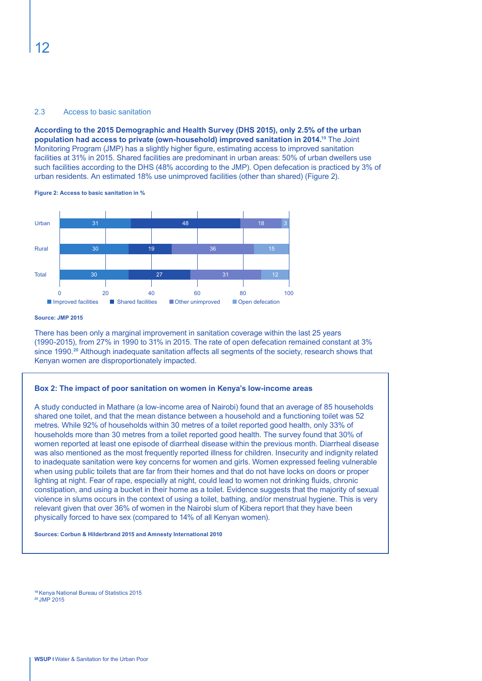#### 2.3 Access to basic sanitation

**According to the 2015 Demographic and Health Survey (DHS 2015), only 2.5% of the urban population had access to private (own-household) improved sanitation in 2014.19** The Joint Monitoring Program (JMP) has a slightly higher figure, estimating access to improved sanitation facilities at 31% in 2015. Shared facilities are predominant in urban areas: 50% of urban dwellers use such facilities according to the DHS (48% according to the JMP). Open defecation is practiced by 3% of urban residents. An estimated 18% use unimproved facilities (other than shared) (Figure 2).





#### **Source: JMP 2015**

There has been only a marginal improvement in sanitation coverage within the last 25 years (1990-2015), from 27% in 1990 to 31% in 2015. The rate of open defecation remained constant at 3% since 1990.**<sup>20</sup>** Although inadequate sanitation affects all segments of the society, research shows that Kenyan women are disproportionately impacted.

#### **Box 2: The impact of poor sanitation on women in Kenya's low-income areas**

A study conducted in Mathare (a low-income area of Nairobi) found that an average of 85 households shared one toilet, and that the mean distance between a household and a functioning toilet was 52 metres. While 92% of households within 30 metres of a toilet reported good health, only 33% of households more than 30 metres from a toilet reported good health. The survey found that 30% of women reported at least one episode of diarrheal disease within the previous month. Diarrheal disease was also mentioned as the most frequently reported illness for children. Insecurity and indignity related to inadequate sanitation were key concerns for women and girls. Women expressed feeling vulnerable when using public toilets that are far from their homes and that do not have locks on doors or proper lighting at night. Fear of rape, especially at night, could lead to women not drinking fluids, chronic constipation, and using a bucket in their home as a toilet. Evidence suggests that the majority of sexual violence in slums occurs in the context of using a toilet, bathing, and/or menstrual hygiene. This is very relevant given that over 36% of women in the Nairobi slum of Kibera report that they have been physically forced to have sex (compared to 14% of all Kenyan women).

**Sources: Corbun & Hilderbrand 2015 and Amnesty International 2010**

**<sup>19</sup>**Kenya National Bureau of Statistics 2015 **<sup>20</sup>**JMP 2015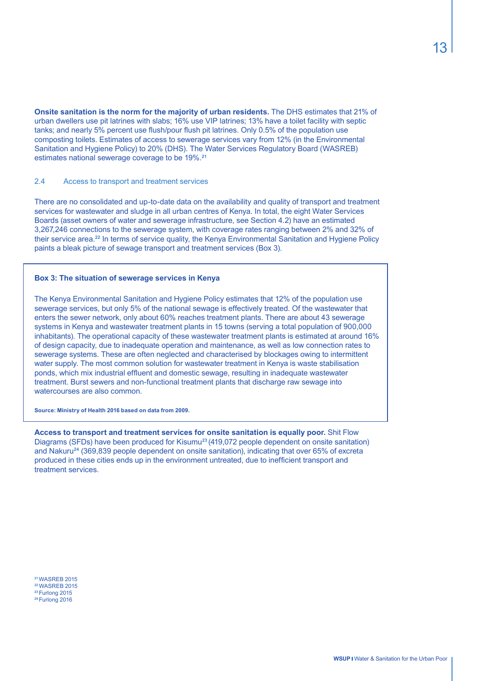**Onsite sanitation is the norm for the majority of urban residents.** The DHS estimates that 21% of urban dwellers use pit latrines with slabs; 16% use VIP latrines; 13% have a toilet facility with septic tanks; and nearly 5% percent use flush/pour flush pit latrines. Only 0.5% of the population use composting toilets. Estimates of access to sewerage services vary from 12% (in the Environmental Sanitation and Hygiene Policy) to 20% (DHS). The Water Services Regulatory Board (WASREB) estimates national sewerage coverage to be 19%.**<sup>21</sup>**

#### 2.4 Access to transport and treatment services

There are no consolidated and up-to-date data on the availability and quality of transport and treatment services for wastewater and sludge in all urban centres of Kenya. In total, the eight Water Services Boards (asset owners of water and sewerage infrastructure, see Section 4.2) have an estimated 3,267,246 connections to the sewerage system, with coverage rates ranging between 2% and 32% of their service area.**<sup>22</sup>** In terms of service quality, the Kenya Environmental Sanitation and Hygiene Policy paints a bleak picture of sewage transport and treatment services (Box 3).

#### **Box 3: The situation of sewerage services in Kenya**

The Kenya Environmental Sanitation and Hygiene Policy estimates that 12% of the population use sewerage services, but only 5% of the national sewage is effectively treated. Of the wastewater that enters the sewer network, only about 60% reaches treatment plants. There are about 43 sewerage systems in Kenya and wastewater treatment plants in 15 towns (serving a total population of 900,000 inhabitants). The operational capacity of these wastewater treatment plants is estimated at around 16% of design capacity, due to inadequate operation and maintenance, as well as low connection rates to sewerage systems. These are often neglected and characterised by blockages owing to intermittent water supply. The most common solution for wastewater treatment in Kenya is waste stabilisation ponds, which mix industrial effluent and domestic sewage, resulting in inadequate wastewater treatment. Burst sewers and non-functional treatment plants that discharge raw sewage into watercourses are also common.

**Source: Ministry of Health 2016 based on data from 2009.**

**Access to transport and treatment services for onsite sanitation is equally poor.** Shit Flow Diagrams (SFDs) have been produced for Kisumu**<sup>23</sup>**(419,072 people dependent on onsite sanitation) and Nakuru**<sup>24</sup>** (369,839 people dependent on onsite sanitation), indicating that over 65% of excreta produced in these cities ends up in the environment untreated, due to inefficient transport and treatment services.

WASREB 2015 WASREB 2015 Furlong 2015 Furlong 2016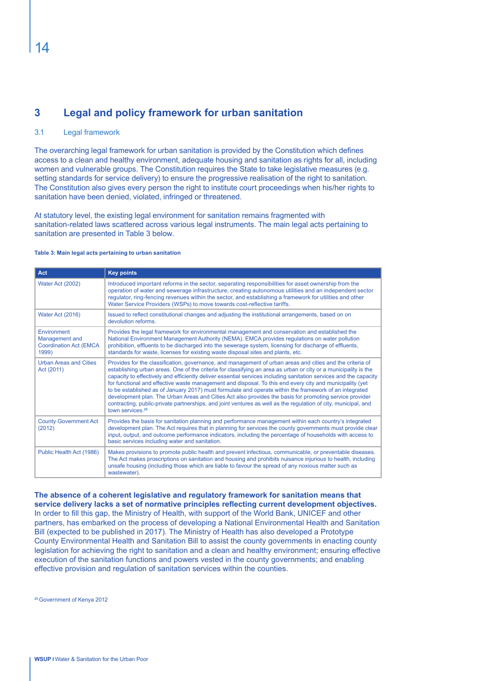# **3 Legal and policy framework for urban sanitation**

#### 3.1 Legal framework

The overarching legal framework for urban sanitation is provided by the Constitution which defines access to a clean and healthy environment, adequate housing and sanitation as rights for all, including women and vulnerable groups. The Constitution requires the State to take legislative measures (e.g. setting standards for service delivery) to ensure the progressive realisation of the right to sanitation. The Constitution also gives every person the right to institute court proceedings when his/her rights to sanitation have been denied, violated, infringed or threatened.

At statutory level, the existing legal environment for sanitation remains fragmented with sanitation-related laws scattered across various legal instruments. The main legal acts pertaining to sanitation are presented in Table 3 below.

#### **Table 3: Main legal acts pertaining to urban sanitation**

| Act                                                                      | <b>Key points</b>                                                                                                                                                                                                                                                                                                                                                                                                                                                                                                                                                                                                                                                                                                                                                                                                                    |
|--------------------------------------------------------------------------|--------------------------------------------------------------------------------------------------------------------------------------------------------------------------------------------------------------------------------------------------------------------------------------------------------------------------------------------------------------------------------------------------------------------------------------------------------------------------------------------------------------------------------------------------------------------------------------------------------------------------------------------------------------------------------------------------------------------------------------------------------------------------------------------------------------------------------------|
| Water Act (2002)                                                         | Introduced important reforms in the sector, separating responsibilities for asset ownership from the<br>operation of water and sewerage infrastructure, creating autonomous utilities and an independent sector<br>regulator, ring-fencing revenues within the sector, and establishing a framework for utilities and other<br>Water Service Providers (WSPs) to move towards cost-reflective tariffs.                                                                                                                                                                                                                                                                                                                                                                                                                               |
| Water Act (2016)                                                         | Issued to reflect constitutional changes and adjusting the institutional arrangements, based on on<br>devolution reforms.                                                                                                                                                                                                                                                                                                                                                                                                                                                                                                                                                                                                                                                                                                            |
| Environment<br>Management and<br><b>Coordination Act (EMCA)</b><br>1999) | Provides the legal framework for environmental management and conservation and established the<br>National Environment Management Authority (NEMA). EMCA provides regulations on water pollution<br>prohibition, effluents to be discharged into the sewerage system, licensing for discharge of effluents,<br>standards for waste, licenses for existing waste disposal sites and plants, etc.                                                                                                                                                                                                                                                                                                                                                                                                                                      |
| <b>Urban Areas and Cities</b><br>Act (2011)                              | Provides for the classification, governance, and management of urban areas and cities and the criteria of<br>establishing urban areas. One of the criteria for classifying an area as urban or city or a municipality is the<br>capacity to effectively and efficiently deliver essential services including sanitation services and the capacity<br>for functional and effective waste management and disposal. To this end every city and municipality (yet<br>to be established as of January 2017) must formulate and operate within the framework of an integrated<br>development plan. The Urban Areas and Cities Act also provides the basis for promoting service provider<br>contracting, public-private partnerships, and joint ventures as well as the regulation of city, municipal, and<br>town services. <sup>25</sup> |
| <b>County Government Act</b><br>(2012)                                   | Provides the basis for sanitation planning and performance management within each country's integrated<br>development plan. The Act requires that in planning for services the county governments must provide clear<br>input, output, and outcome performance indicators, including the percentage of households with access to<br>basic services including water and sanitation.                                                                                                                                                                                                                                                                                                                                                                                                                                                   |
| Public Health Act (1986)                                                 | Makes provisions to promote public health and prevent infectious, communicable, or preventable diseases.<br>The Act makes proscriptions on sanitation and housing and prohibits nuisance injurious to health, including<br>unsafe housing (including those which are liable to favour the spread of any noxious matter such as<br>wastewater).                                                                                                                                                                                                                                                                                                                                                                                                                                                                                       |

**The absence of a coherent legislative and regulatory framework for sanitation means that service delivery lacks a set of normative principles reflecting current development objectives.**  In order to fill this gap, the Ministry of Health, with support of the World Bank, UNICEF and other partners, has embarked on the process of developing a National Environmental Health and Sanitation Bill (expected to be published in 2017). The Ministry of Health has also developed a Prototype County Environmental Health and Sanitation Bill to assist the county governments in enacting county legislation for achieving the right to sanitation and a clean and healthy environment; ensuring effective execution of the sanitation functions and powers vested in the county governments; and enabling effective provision and regulation of sanitation services within the counties.

**25** Government of Kenya 2012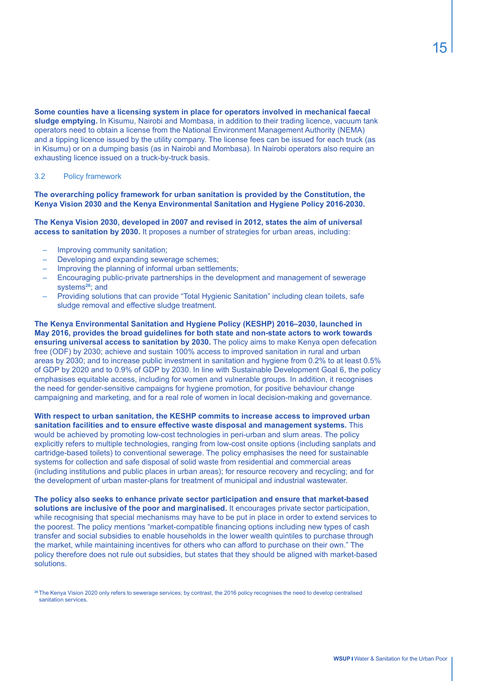**Some counties have a licensing system in place for operators involved in mechanical faecal sludge emptying.** In Kisumu, Nairobi and Mombasa, in addition to their trading licence, vacuum tank operators need to obtain a license from the National Environment Management Authority (NEMA) and a tipping licence issued by the utility company. The license fees can be issued for each truck (as in Kisumu) or on a dumping basis (as in Nairobi and Mombasa). In Nairobi operators also require an exhausting licence issued on a truck-by-truck basis.

#### 3.2 Policy framework

**The overarching policy framework for urban sanitation is provided by the Constitution, the Kenya Vision 2030 and the Kenya Environmental Sanitation and Hygiene Policy 2016-2030.** 

**The Kenya Vision 2030, developed in 2007 and revised in 2012, states the aim of universal access to sanitation by 2030.** It proposes a number of strategies for urban areas, including:

- Improving community sanitation;
- Developing and expanding sewerage schemes;
- Improving the planning of informal urban settlements;
- Encouraging public-private partnerships in the development and management of sewerage systems**<sup>26</sup>**; and
- Providing solutions that can provide "Total Hygienic Sanitation" including clean toilets, safe sludge removal and effective sludge treatment.

**The Kenya Environmental Sanitation and Hygiene Policy (KESHP) 2016–2030, launched in May 2016, provides the broad guidelines for both state and non-state actors to work towards ensuring universal access to sanitation by 2030.** The policy aims to make Kenya open defecation free (ODF) by 2030; achieve and sustain 100% access to improved sanitation in rural and urban areas by 2030; and to increase public investment in sanitation and hygiene from 0.2% to at least 0.5% of GDP by 2020 and to 0.9% of GDP by 2030. In line with Sustainable Development Goal 6, the policy emphasises equitable access, including for women and vulnerable groups. In addition, it recognises the need for gender-sensitive campaigns for hygiene promotion, for positive behaviour change campaigning and marketing, and for a real role of women in local decision-making and governance.

**With respect to urban sanitation, the KESHP commits to increase access to improved urban sanitation facilities and to ensure effective waste disposal and management systems.** This would be achieved by promoting low-cost technologies in peri-urban and slum areas. The policy explicitly refers to multiple technologies, ranging from low-cost onsite options (including sanplats and cartridge-based toilets) to conventional sewerage. The policy emphasises the need for sustainable systems for collection and safe disposal of solid waste from residential and commercial areas (including institutions and public places in urban areas); for resource recovery and recycling; and for the development of urban master-plans for treatment of municipal and industrial wastewater.

**The policy also seeks to enhance private sector participation and ensure that market-based solutions are inclusive of the poor and marginalised.** It encourages private sector participation, while recognising that special mechanisms may have to be put in place in order to extend services to the poorest. The policy mentions "market-compatible financing options including new types of cash transfer and social subsidies to enable households in the lower wealth quintiles to purchase through the market, while maintaining incentives for others who can afford to purchase on their own." The policy therefore does not rule out subsidies, but states that they should be aligned with market-based solutions.

**<sup>26</sup>**The Kenya Vision 2020 only refers to sewerage services; by contrast, the 2016 policy recognises the need to develop centralised sanitation services.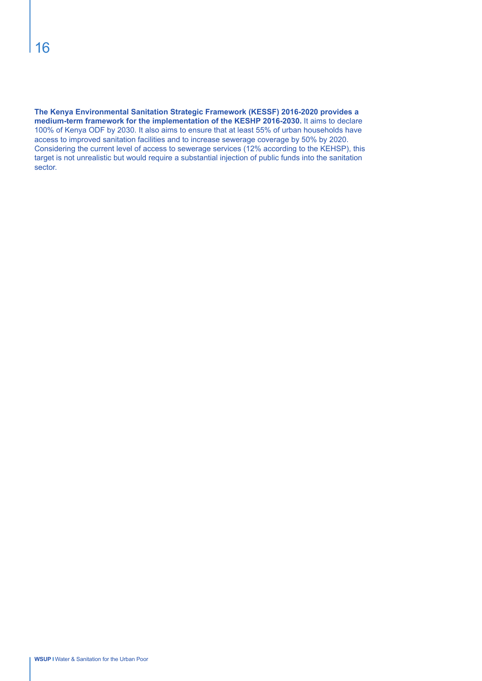**The Kenya Environmental Sanitation Strategic Framework (KESSF) 2016-2020 provides a medium-term framework for the implementation of the KESHP 2016-2030.** It aims to declare 100% of Kenya ODF by 2030. It also aims to ensure that at least 55% of urban households have access to improved sanitation facilities and to increase sewerage coverage by 50% by 2020. Considering the current level of access to sewerage services (12% according to the KEHSP), this target is not unrealistic but would require a substantial injection of public funds into the sanitation sector.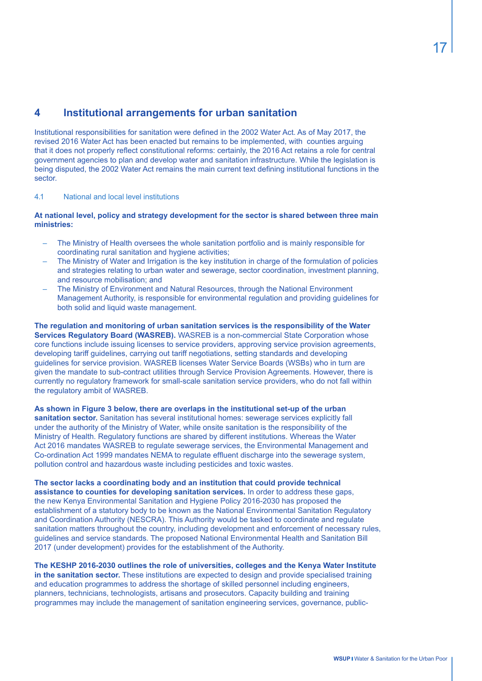# **4 Institutional arrangements for urban sanitation**

Institutional responsibilities for sanitation were defined in the 2002 Water Act. As of May 2017, the revised 2016 Water Act has been enacted but remains to be implemented, with counties arguing that it does not properly reflect constitutional reforms: certainly, the 2016 Act retains a role for central government agencies to plan and develop water and sanitation infrastructure. While the legislation is being disputed, the 2002 Water Act remains the main current text defining institutional functions in the sector.

#### 4.1 National and local level institutions

**At national level, policy and strategy development for the sector is shared between three main ministries:**

- The Ministry of Health oversees the whole sanitation portfolio and is mainly responsible for coordinating rural sanitation and hygiene activities;
- The Ministry of Water and Irrigation is the key institution in charge of the formulation of policies and strategies relating to urban water and sewerage, sector coordination, investment planning, and resource mobilisation; and
- The Ministry of Environment and Natural Resources, through the National Environment Management Authority, is responsible for environmental regulation and providing guidelines for both solid and liquid waste management.

**The regulation and monitoring of urban sanitation services is the responsibility of the Water Services Regulatory Board (WASREB).** WASREB is a non-commercial State Corporation whose core functions include issuing licenses to service providers, approving service provision agreements, developing tariff guidelines, carrying out tariff negotiations, setting standards and developing guidelines for service provision. WASREB licenses Water Service Boards (WSBs) who in turn are given the mandate to sub-contract utilities through Service Provision Agreements. However, there is currently no regulatory framework for small-scale sanitation service providers, who do not fall within the regulatory ambit of WASREB.

**As shown in Figure 3 below, there are overlaps in the institutional set-up of the urban sanitation sector.** Sanitation has several institutional homes: sewerage services explicitly fall under the authority of the Ministry of Water, while onsite sanitation is the responsibility of the Ministry of Health. Regulatory functions are shared by different institutions. Whereas the Water Act 2016 mandates WASREB to regulate sewerage services, the Environmental Management and Co-ordination Act 1999 mandates NEMA to regulate effluent discharge into the sewerage system, pollution control and hazardous waste including pesticides and toxic wastes.

**The sector lacks a coordinating body and an institution that could provide technical assistance to counties for developing sanitation services.** In order to address these gaps, the new Kenya Environmental Sanitation and Hygiene Policy 2016-2030 has proposed the establishment of a statutory body to be known as the National Environmental Sanitation Regulatory and Coordination Authority (NESCRA). This Authority would be tasked to coordinate and regulate sanitation matters throughout the country, including development and enforcement of necessary rules, guidelines and service standards. The proposed National Environmental Health and Sanitation Bill 2017 (under development) provides for the establishment of the Authority.

**The KESHP 2016-2030 outlines the role of universities, colleges and the Kenya Water Institute in the sanitation sector.** These institutions are expected to design and provide specialised training and education programmes to address the shortage of skilled personnel including engineers, planners, technicians, technologists, artisans and prosecutors. Capacity building and training programmes may include the management of sanitation engineering services, governance, public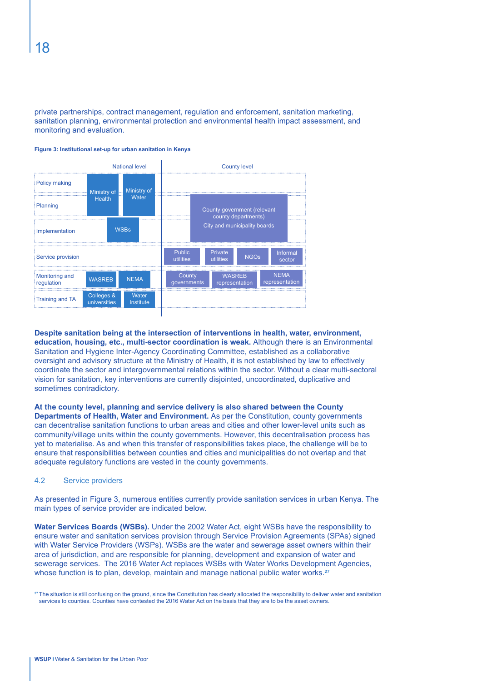private partnerships, contract management, regulation and enforcement, sanitation marketing, sanitation planning, environmental protection and environmental health impact assessment, and monitoring and evaluation.



#### **Figure 3: Institutional set-up for urban sanitation in Kenya**

#### **Despite sanitation being at the intersection of interventions in health, water, environment,**

**education, housing, etc., multi-sector coordination is weak.** Although there is an Environmental Sanitation and Hygiene Inter-Agency Coordinating Committee, established as a collaborative oversight and advisory structure at the Ministry of Health, it is not established by law to effectively coordinate the sector and intergovernmental relations within the sector. Without a clear multi-sectoral vision for sanitation, key interventions are currently disjointed, uncoordinated, duplicative and sometimes contradictory.

#### **At the county level, planning and service delivery is also shared between the County**

**Departments of Health, Water and Environment.** As per the Constitution, county governments can decentralise sanitation functions to urban areas and cities and other lower-level units such as community/village units within the county governments. However, this decentralisation process has yet to materialise. As and when this transfer of responsibilities takes place, the challenge will be to ensure that responsibilities between counties and cities and municipalities do not overlap and that adequate regulatory functions are vested in the county governments.

#### 4.2 Service providers

As presented in Figure 3, numerous entities currently provide sanitation services in urban Kenya. The main types of service provider are indicated below.

**Water Services Boards (WSBs).** Under the 2002 Water Act, eight WSBs have the responsibility to ensure water and sanitation services provision through Service Provision Agreements (SPAs) signed with Water Service Providers (WSPs). WSBs are the water and sewerage asset owners within their area of jurisdiction, and are responsible for planning, development and expansion of water and sewerage services. The 2016 Water Act replaces WSBs with Water Works Development Agencies, whose function is to plan, develop, maintain and manage national public water works.**<sup>27</sup>**

**<sup>27</sup>**The situation is still confusing on the ground, since the Constitution has clearly allocated the responsibility to deliver water and sanitation services to counties. Counties have contested the 2016 Water Act on the basis that they are to be the asset owners.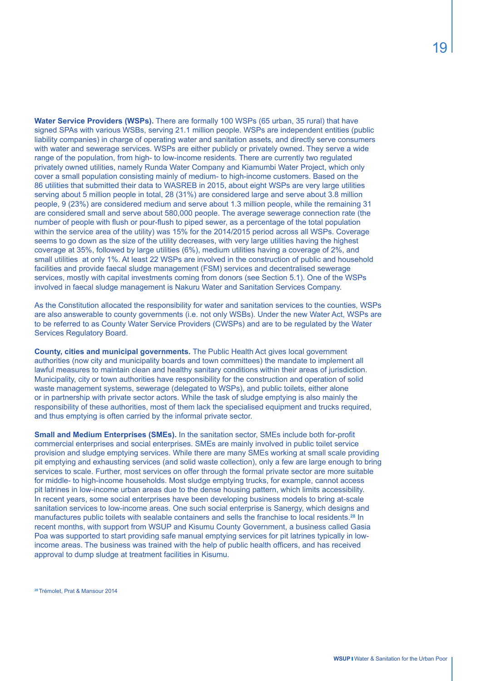**Water Service Providers (WSPs).** There are formally 100 WSPs (65 urban, 35 rural) that have signed SPAs with various WSBs, serving 21.1 million people. WSPs are independent entities (public liability companies) in charge of operating water and sanitation assets, and directly serve consumers with water and sewerage services. WSPs are either publicly or privately owned. They serve a wide range of the population, from high- to low-income residents. There are currently two regulated privately owned utilities, namely Runda Water Company and Kiamumbi Water Project, which only cover a small population consisting mainly of medium- to high-income customers. Based on the 86 utilities that submitted their data to WASREB in 2015, about eight WSPs are very large utilities serving about 5 million people in total, 28 (31%) are considered large and serve about 3.8 million people, 9 (23%) are considered medium and serve about 1.3 million people, while the remaining 31 are considered small and serve about 580,000 people. The average sewerage connection rate (the number of people with flush or pour-flush to piped sewer, as a percentage of the total population within the service area of the utility) was 15% for the 2014/2015 period across all WSPs. Coverage seems to go down as the size of the utility decreases, with very large utilities having the highest coverage at 35%, followed by large utilities (6%), medium utilities having a coverage of 2%, and small utilities at only 1%. At least 22 WSPs are involved in the construction of public and household facilities and provide faecal sludge management (FSM) services and decentralised sewerage services, mostly with capital investments coming from donors (see Section 5.1). One of the WSPs involved in faecal sludge management is Nakuru Water and Sanitation Services Company.

As the Constitution allocated the responsibility for water and sanitation services to the counties, WSPs are also answerable to county governments (i.e. not only WSBs). Under the new Water Act, WSPs are to be referred to as County Water Service Providers (CWSPs) and are to be regulated by the Water Services Regulatory Board.

**County, cities and municipal governments.** The Public Health Act gives local government authorities (now city and municipality boards and town committees) the mandate to implement all lawful measures to maintain clean and healthy sanitary conditions within their areas of jurisdiction. Municipality, city or town authorities have responsibility for the construction and operation of solid waste management systems, sewerage (delegated to WSPs), and public toilets, either alone or in partnership with private sector actors. While the task of sludge emptying is also mainly the responsibility of these authorities, most of them lack the specialised equipment and trucks required, and thus emptying is often carried by the informal private sector.

**Small and Medium Enterprises (SMEs).** In the sanitation sector, SMEs include both for-profit commercial enterprises and social enterprises. SMEs are mainly involved in public toilet service provision and sludge emptying services. While there are many SMEs working at small scale providing pit emptying and exhausting services (and solid waste collection), only a few are large enough to bring services to scale. Further, most services on offer through the formal private sector are more suitable for middle- to high-income households. Most sludge emptying trucks, for example, cannot access pit latrines in low-income urban areas due to the dense housing pattern, which limits accessibility. In recent years, some social enterprises have been developing business models to bring at-scale sanitation services to low-income areas. One such social enterprise is Sanergy, which designs and manufactures public toilets with sealable containers and sells the franchise to local residents.**<sup>28</sup>** In recent months, with support from WSUP and Kisumu County Government, a business called Gasia Poa was supported to start providing safe manual emptying services for pit latrines typically in lowincome areas. The business was trained with the help of public health officers, and has received approval to dump sludge at treatment facilities in Kisumu.

**28** Trémolet, Prat & Mansour 2014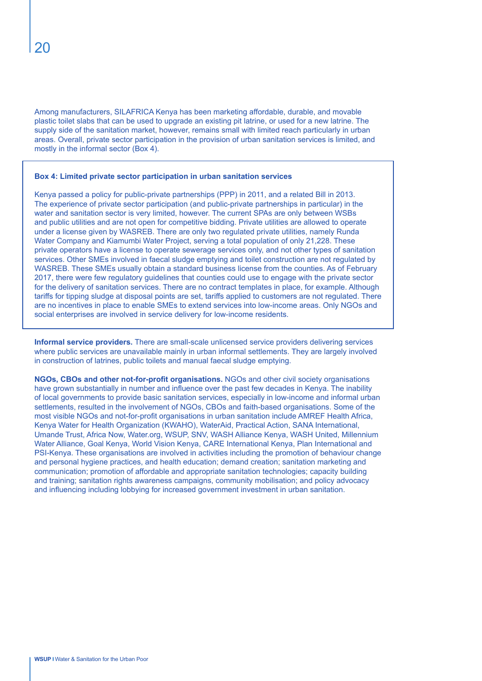Among manufacturers, SILAFRICA Kenya has been marketing affordable, durable, and movable plastic toilet slabs that can be used to upgrade an existing pit latrine, or used for a new latrine. The supply side of the sanitation market, however, remains small with limited reach particularly in urban areas. Overall, private sector participation in the provision of urban sanitation services is limited, and mostly in the informal sector (Box 4).

#### **Box 4: Limited private sector participation in urban sanitation services**

Kenya passed a policy for public-private partnerships (PPP) in 2011, and a related Bill in 2013. The experience of private sector participation (and public-private partnerships in particular) in the water and sanitation sector is very limited, however. The current SPAs are only between WSBs and public utilities and are not open for competitive bidding. Private utilities are allowed to operate under a license given by WASREB. There are only two regulated private utilities, namely Runda Water Company and Kiamumbi Water Project, serving a total population of only 21,228. These private operators have a license to operate sewerage services only, and not other types of sanitation services. Other SMEs involved in faecal sludge emptying and toilet construction are not regulated by WASREB. These SMEs usually obtain a standard business license from the counties. As of February 2017, there were few regulatory guidelines that counties could use to engage with the private sector for the delivery of sanitation services. There are no contract templates in place, for example. Although tariffs for tipping sludge at disposal points are set, tariffs applied to customers are not regulated. There are no incentives in place to enable SMEs to extend services into low-income areas. Only NGOs and social enterprises are involved in service delivery for low-income residents.

**Informal service providers.** There are small-scale unlicensed service providers delivering services where public services are unavailable mainly in urban informal settlements. They are largely involved in construction of latrines, public toilets and manual faecal sludge emptying.

**NGOs, CBOs and other not-for-profit organisations.** NGOs and other civil society organisations have grown substantially in number and influence over the past few decades in Kenya. The inability of local governments to provide basic sanitation services, especially in low-income and informal urban settlements, resulted in the involvement of NGOs, CBOs and faith-based organisations. Some of the most visible NGOs and not-for-profit organisations in urban sanitation include AMREF Health Africa, Kenya Water for Health Organization (KWAHO), WaterAid, Practical Action, SANA International, Umande Trust, Africa Now, Water.org, WSUP, SNV, WASH Alliance Kenya, WASH United, Millennium Water Alliance, Goal Kenya, World Vision Kenya, CARE International Kenya, Plan International and PSI-Kenya. These organisations are involved in activities including the promotion of behaviour change and personal hygiene practices, and health education; demand creation; sanitation marketing and communication; promotion of affordable and appropriate sanitation technologies; capacity building and training; sanitation rights awareness campaigns, community mobilisation; and policy advocacy and influencing including lobbying for increased government investment in urban sanitation.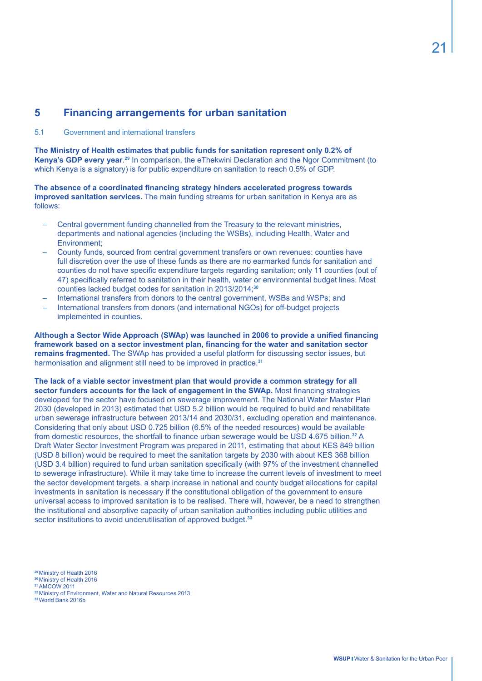# **5 Financing arrangements for urban sanitation**

#### 5.1 Government and international transfers

**The Ministry of Health estimates that public funds for sanitation represent only 0.2% of Kenya's GDP every year**. **<sup>29</sup>** In comparison, the eThekwini Declaration and the Ngor Commitment (to which Kenya is a signatory) is for public expenditure on sanitation to reach 0.5% of GDP.

**The absence of a coordinated financing strategy hinders accelerated progress towards improved sanitation services.** The main funding streams for urban sanitation in Kenya are as follows:

- Central government funding channelled from the Treasury to the relevant ministries, departments and national agencies (including the WSBs), including Health, Water and Environment;
- County funds, sourced from central government transfers or own revenues: counties have full discretion over the use of these funds as there are no earmarked funds for sanitation and counties do not have specific expenditure targets regarding sanitation; only 11 counties (out of 47) specifically referred to sanitation in their health, water or environmental budget lines. Most counties lacked budget codes for sanitation in 2013/2014;**<sup>30</sup>**
- International transfers from donors to the central government, WSBs and WSPs; and
- International transfers from donors (and international NGOs) for off-budget projects implemented in counties.

**Although a Sector Wide Approach (SWAp) was launched in 2006 to provide a unified financing framework based on a sector investment plan, financing for the water and sanitation sector remains fragmented.** The SWAp has provided a useful platform for discussing sector issues, but harmonisation and alignment still need to be improved in practice.**<sup>31</sup>**

**The lack of a viable sector investment plan that would provide a common strategy for all sector funders accounts for the lack of engagement in the SWAp.** Most financing strategies developed for the sector have focused on sewerage improvement. The National Water Master Plan 2030 (developed in 2013) estimated that USD 5.2 billion would be required to build and rehabilitate urban sewerage infrastructure between 2013/14 and 2030/31, excluding operation and maintenance. Considering that only about USD 0.725 billion (6.5% of the needed resources) would be available from domestic resources, the shortfall to finance urban sewerage would be USD 4.675 billion.**<sup>32</sup>** A Draft Water Sector Investment Program was prepared in 2011, estimating that about KES 849 billion (USD 8 billion) would be required to meet the sanitation targets by 2030 with about KES 368 billion (USD 3.4 billion) required to fund urban sanitation specifically (with 97% of the investment channelled to sewerage infrastructure). While it may take time to increase the current levels of investment to meet the sector development targets, a sharp increase in national and county budget allocations for capital investments in sanitation is necessary if the constitutional obligation of the government to ensure universal access to improved sanitation is to be realised. There will, however, be a need to strengthen the institutional and absorptive capacity of urban sanitation authorities including public utilities and sector institutions to avoid underutilisation of approved budget.**<sup>33</sup>**

**<sup>29</sup>**Ministry of Health 2016

- **<sup>30</sup>**Ministry of Health 2016 **<sup>31</sup>**AMCOW 2011
- 

**33** World Bank 2016b

**<sup>32</sup>**Ministry of Environment, Water and Natural Resources 2013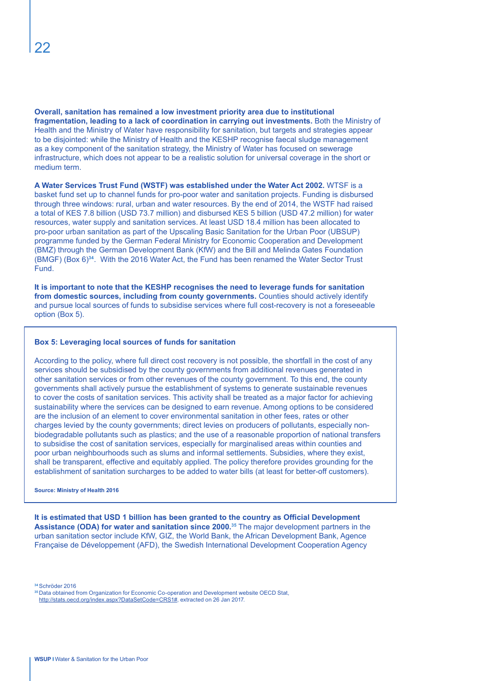**Overall, sanitation has remained a low investment priority area due to institutional fragmentation, leading to a lack of coordination in carrying out investments.** Both the Ministry of Health and the Ministry of Water have responsibility for sanitation, but targets and strategies appear to be disjointed: while the Ministry of Health and the KESHP recognise faecal sludge management as a key component of the sanitation strategy, the Ministry of Water has focused on sewerage infrastructure, which does not appear to be a realistic solution for universal coverage in the short or medium term.

**A Water Services Trust Fund (WSTF) was established under the Water Act 2002.** WTSF is a basket fund set up to channel funds for pro-poor water and sanitation projects. Funding is disbursed through three windows: rural, urban and water resources. By the end of 2014, the WSTF had raised a total of KES 7.8 billion (USD 73.7 million) and disbursed KES 5 billion (USD 47.2 million) for water resources, water supply and sanitation services. At least USD 18.4 million has been allocated to pro-poor urban sanitation as part of the Upscaling Basic Sanitation for the Urban Poor (UBSUP) programme funded by the German Federal Ministry for Economic Cooperation and Development (BMZ) through the German Development Bank (KfW) and the Bill and Melinda Gates Foundation (BMGF) (Box 6)**<sup>34</sup>**. With the 2016 Water Act, the Fund has been renamed the Water Sector Trust Fund.

**It is important to note that the KESHP recognises the need to leverage funds for sanitation from domestic sources, including from county governments.** Counties should actively identify and pursue local sources of funds to subsidise services where full cost-recovery is not a foreseeable option (Box 5).

#### **Box 5: Leveraging local sources of funds for sanitation**

According to the policy, where full direct cost recovery is not possible, the shortfall in the cost of any services should be subsidised by the county governments from additional revenues generated in other sanitation services or from other revenues of the county government. To this end, the county governments shall actively pursue the establishment of systems to generate sustainable revenues to cover the costs of sanitation services. This activity shall be treated as a major factor for achieving sustainability where the services can be designed to earn revenue. Among options to be considered are the inclusion of an element to cover environmental sanitation in other fees, rates or other charges levied by the county governments; direct levies on producers of pollutants, especially nonbiodegradable pollutants such as plastics; and the use of a reasonable proportion of national transfers to subsidise the cost of sanitation services, especially for marginalised areas within counties and poor urban neighbourhoods such as slums and informal settlements. Subsidies, where they exist, shall be transparent, effective and equitably applied. The policy therefore provides grounding for the establishment of sanitation surcharges to be added to water bills (at least for better-off customers).

#### **Source: Ministry of Health 2016**

**It is estimated that USD 1 billion has been granted to the country as Official Development Assistance (ODA) for water and sanitation since 2000.35** The major development partners in the urban sanitation sector include KfW, GIZ, the World Bank, the African Development Bank, Agence Française de Développement (AFD), the Swedish International Development Cooperation Agency

**<sup>34</sup>**Schröder 2016

**<sup>35</sup>**Data obtained from Organization for Economic Co-operation and Development website OECD Stat, http://stats.oecd.org/index.aspx?DataSetCode=CRS1#, extracted on 26 Jan 2017.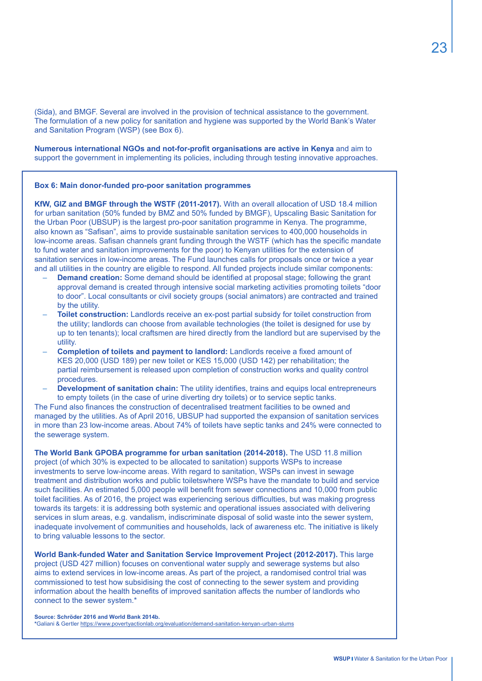(Sida), and BMGF. Several are involved in the provision of technical assistance to the government. The formulation of a new policy for sanitation and hygiene was supported by the World Bank's Water and Sanitation Program (WSP) (see Box 6).

**Numerous international NGOs and not-for-profit organisations are active in Kenya** and aim to support the government in implementing its policies, including through testing innovative approaches.

#### **Box 6: Main donor-funded pro-poor sanitation programmes**

**KfW, GIZ and BMGF through the WSTF (2011-2017).** With an overall allocation of USD 18.4 million for urban sanitation (50% funded by BMZ and 50% funded by BMGF), Upscaling Basic Sanitation for the Urban Poor (UBSUP) is the largest pro-poor sanitation programme in Kenya. The programme, also known as "Safisan", aims to provide sustainable sanitation services to 400,000 households in low-income areas. Safisan channels grant funding through the WSTF (which has the specific mandate to fund water and sanitation improvements for the poor) to Kenyan utilities for the extension of sanitation services in low-income areas. The Fund launches calls for proposals once or twice a year and all utilities in the country are eligible to respond. All funded projects include similar components:

- **Demand creation:** Some demand should be identified at proposal stage; following the grant approval demand is created through intensive social marketing activities promoting toilets "door to door". Local consultants or civil society groups (social animators) are contracted and trained by the utility.
- **Toilet construction:** Landlords receive an ex-post partial subsidy for toilet construction from the utility; landlords can choose from available technologies (the toilet is designed for use by up to ten tenants); local craftsmen are hired directly from the landlord but are supervised by the utility.
- **Completion of toilets and payment to landlord:** Landlords receive a fixed amount of KES 20,000 (USD 189) per new toilet or KES 15,000 (USD 142) per rehabilitation; the partial reimbursement is released upon completion of construction works and quality control procedures.
- **Development of sanitation chain:** The utility identifies, trains and equips local entrepreneurs to empty toilets (in the case of urine diverting dry toilets) or to service septic tanks.

The Fund also finances the construction of decentralised treatment facilities to be owned and managed by the utilities. As of April 2016, UBSUP had supported the expansion of sanitation services in more than 23 low-income areas. About 74% of toilets have septic tanks and 24% were connected to the sewerage system.

**The World Bank GPOBA programme for urban sanitation (2014-2018).** The USD 11.8 million project (of which 30% is expected to be allocated to sanitation) supports WSPs to increase investments to serve low-income areas. With regard to sanitation, WSPs can invest in sewage treatment and distribution works and public toiletswhere WSPs have the mandate to build and service such facilities. An estimated 5,000 people will benefit from sewer connections and 10,000 from public toilet facilities. As of 2016, the project was experiencing serious difficulties, but was making progress towards its targets: it is addressing both systemic and operational issues associated with delivering services in slum areas, e.g. vandalism, indiscriminate disposal of solid waste into the sewer system, inadequate involvement of communities and households, lack of awareness etc. The initiative is likely to bring valuable lessons to the sector.

**World Bank-funded Water and Sanitation Service Improvement Project (2012-2017).** This large project (USD 427 million) focuses on conventional water supply and sewerage systems but also aims to extend services in low-income areas. As part of the project, a randomised control trial was commissioned to test how subsidising the cost of connecting to the sewer system and providing information about the health benefits of improved sanitation affects the number of landlords who connect to the sewer system.\*

**Source: Schröder 2016 and World Bank 2014b. \***Galiani & Gertler https://www.povertyactionlab.org/evaluation/demand-sanitation-kenyan-urban-slums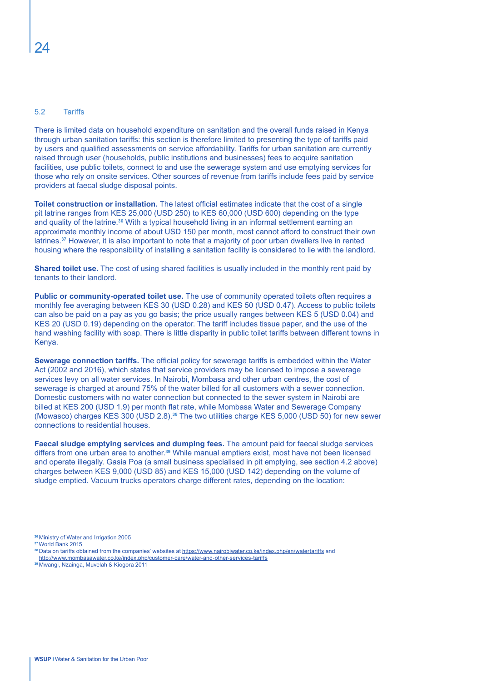#### 5.2 Tariffs

There is limited data on household expenditure on sanitation and the overall funds raised in Kenya through urban sanitation tariffs: this section is therefore limited to presenting the type of tariffs paid by users and qualified assessments on service affordability. Tariffs for urban sanitation are currently raised through user (households, public institutions and businesses) fees to acquire sanitation facilities, use public toilets, connect to and use the sewerage system and use emptying services for those who rely on onsite services. Other sources of revenue from tariffs include fees paid by service providers at faecal sludge disposal points.

**Toilet construction or installation.** The latest official estimates indicate that the cost of a single pit latrine ranges from KES 25,000 (USD 250) to KES 60,000 (USD 600) depending on the type and quality of the latrine.**<sup>36</sup>** With a typical household living in an informal settlement earning an approximate monthly income of about USD 150 per month, most cannot afford to construct their own latrines.**<sup>37</sup>** However, it is also important to note that a majority of poor urban dwellers live in rented housing where the responsibility of installing a sanitation facility is considered to lie with the landlord.

**Shared toilet use.** The cost of using shared facilities is usually included in the monthly rent paid by tenants to their landlord.

Public or community-operated toilet use. The use of community operated toilets often requires a monthly fee averaging between KES 30 (USD 0.28) and KES 50 (USD 0.47). Access to public toilets can also be paid on a pay as you go basis; the price usually ranges between KES 5 (USD 0.04) and KES 20 (USD 0.19) depending on the operator. The tariff includes tissue paper, and the use of the hand washing facility with soap. There is little disparity in public toilet tariffs between different towns in Kenya.

**Sewerage connection tariffs.** The official policy for sewerage tariffs is embedded within the Water Act (2002 and 2016), which states that service providers may be licensed to impose a sewerage services levy on all water services. In Nairobi, Mombasa and other urban centres, the cost of sewerage is charged at around 75% of the water billed for all customers with a sewer connection. Domestic customers with no water connection but connected to the sewer system in Nairobi are billed at KES 200 (USD 1.9) per month flat rate, while Mombasa Water and Sewerage Company (Mowasco) charges KES 300 (USD 2.8).**<sup>38</sup>** The two utilities charge KES 5,000 (USD 50) for new sewer connections to residential houses.

**Faecal sludge emptying services and dumping fees.** The amount paid for faecal sludge services differs from one urban area to another.**<sup>39</sup>** While manual emptiers exist, most have not been licensed and operate illegally. Gasia Poa (a small business specialised in pit emptying, see section 4.2 above) charges between KES 9,000 (USD 85) and KES 15,000 (USD 142) depending on the volume of sludge emptied. Vacuum trucks operators charge different rates, depending on the location:

**<sup>36</sup>**Ministry of Water and Irrigation 2005

**<sup>37</sup>**World Bank 2015

**<sup>38</sup>**Data on tariffs obtained from the companies' websites at https://www.nairobiwater.co.ke/index.php/en/watertariffs and http://www.mombasawater.co.ke/index.php/customer-care/water-and-other-services-tariffs

**<sup>39</sup>** Mwangi, Nzainga, Muvelah & Kiogora 2011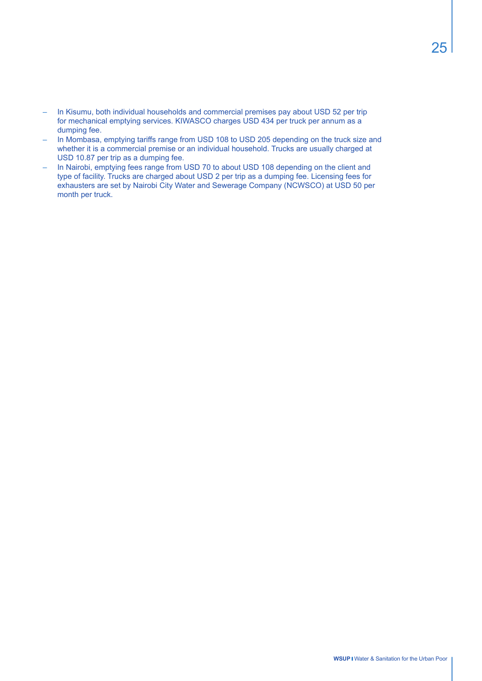- In Kisumu, both individual households and commercial premises pay about USD 52 per trip for mechanical emptying services. KIWASCO charges USD 434 per truck per annum as a dumping fee.
- In Mombasa, emptying tariffs range from USD 108 to USD 205 depending on the truck size and whether it is a commercial premise or an individual household. Trucks are usually charged at USD 10.87 per trip as a dumping fee.
- In Nairobi, emptying fees range from USD 70 to about USD 108 depending on the client and type of facility. Trucks are charged about USD 2 per trip as a dumping fee. Licensing fees for exhausters are set by Nairobi City Water and Sewerage Company (NCWSCO) at USD 50 per month per truck.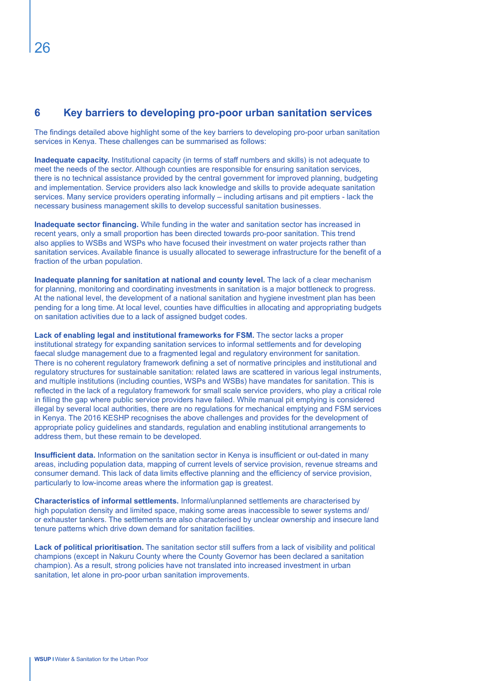# **6 Key barriers to developing pro-poor urban sanitation services**

The findings detailed above highlight some of the key barriers to developing pro-poor urban sanitation services in Kenya. These challenges can be summarised as follows:

**Inadequate capacity.** Institutional capacity (in terms of staff numbers and skills) is not adequate to meet the needs of the sector. Although counties are responsible for ensuring sanitation services, there is no technical assistance provided by the central government for improved planning, budgeting and implementation. Service providers also lack knowledge and skills to provide adequate sanitation services. Many service providers operating informally – including artisans and pit emptiers - lack the necessary business management skills to develop successful sanitation businesses.

**Inadequate sector financing.** While funding in the water and sanitation sector has increased in recent years, only a small proportion has been directed towards pro-poor sanitation. This trend also applies to WSBs and WSPs who have focused their investment on water projects rather than sanitation services. Available finance is usually allocated to sewerage infrastructure for the benefit of a fraction of the urban population.

**Inadequate planning for sanitation at national and county level.** The lack of a clear mechanism for planning, monitoring and coordinating investments in sanitation is a major bottleneck to progress. At the national level, the development of a national sanitation and hygiene investment plan has been pending for a long time. At local level, counties have difficulties in allocating and appropriating budgets on sanitation activities due to a lack of assigned budget codes.

**Lack of enabling legal and institutional frameworks for FSM.** The sector lacks a proper institutional strategy for expanding sanitation services to informal settlements and for developing faecal sludge management due to a fragmented legal and regulatory environment for sanitation. There is no coherent regulatory framework defining a set of normative principles and institutional and regulatory structures for sustainable sanitation: related laws are scattered in various legal instruments, and multiple institutions (including counties, WSPs and WSBs) have mandates for sanitation. This is reflected in the lack of a regulatory framework for small scale service providers, who play a critical role in filling the gap where public service providers have failed. While manual pit emptying is considered illegal by several local authorities, there are no regulations for mechanical emptying and FSM services in Kenya. The 2016 KESHP recognises the above challenges and provides for the development of appropriate policy guidelines and standards, regulation and enabling institutional arrangements to address them, but these remain to be developed.

**Insufficient data.** Information on the sanitation sector in Kenya is insufficient or out-dated in many areas, including population data, mapping of current levels of service provision, revenue streams and consumer demand. This lack of data limits effective planning and the efficiency of service provision, particularly to low-income areas where the information gap is greatest.

**Characteristics of informal settlements.** Informal/unplanned settlements are characterised by high population density and limited space, making some areas inaccessible to sewer systems and/ or exhauster tankers. The settlements are also characterised by unclear ownership and insecure land tenure patterns which drive down demand for sanitation facilities.

**Lack of political prioritisation.** The sanitation sector still suffers from a lack of visibility and political champions (except in Nakuru County where the County Governor has been declared a sanitation champion). As a result, strong policies have not translated into increased investment in urban sanitation, let alone in pro-poor urban sanitation improvements.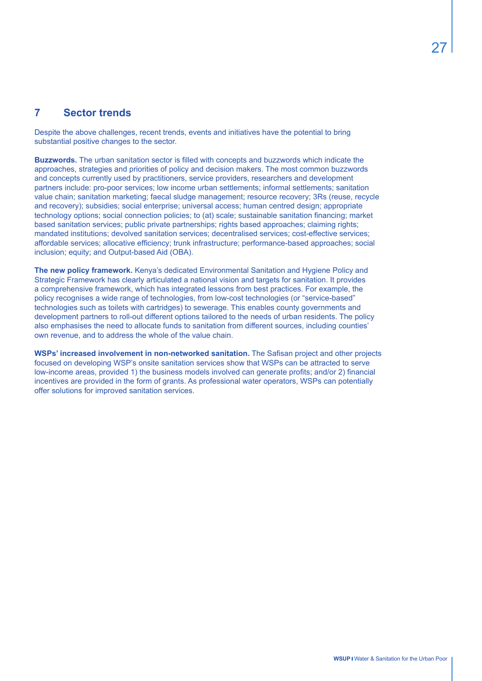## **7 Sector trends**

Despite the above challenges, recent trends, events and initiatives have the potential to bring substantial positive changes to the sector.

**Buzzwords.** The urban sanitation sector is filled with concepts and buzzwords which indicate the approaches, strategies and priorities of policy and decision makers. The most common buzzwords and concepts currently used by practitioners, service providers, researchers and development partners include: pro-poor services; low income urban settlements; informal settlements; sanitation value chain; sanitation marketing; faecal sludge management; resource recovery; 3Rs (reuse, recycle and recovery); subsidies; social enterprise; universal access; human centred design; appropriate technology options; social connection policies; to (at) scale; sustainable sanitation financing; market based sanitation services; public private partnerships; rights based approaches; claiming rights; mandated institutions; devolved sanitation services; decentralised services; cost-effective services; affordable services; allocative efficiency; trunk infrastructure; performance-based approaches; social inclusion; equity; and Output-based Aid (OBA).

**The new policy framework.** Kenya's dedicated Environmental Sanitation and Hygiene Policy and Strategic Framework has clearly articulated a national vision and targets for sanitation. It provides a comprehensive framework, which has integrated lessons from best practices. For example, the policy recognises a wide range of technologies, from low-cost technologies (or "service-based" technologies such as toilets with cartridges) to sewerage. This enables county governments and development partners to roll-out different options tailored to the needs of urban residents. The policy also emphasises the need to allocate funds to sanitation from different sources, including counties' own revenue, and to address the whole of the value chain.

**WSPs' increased involvement in non-networked sanitation.** The Safisan project and other projects focused on developing WSP's onsite sanitation services show that WSPs can be attracted to serve low-income areas, provided 1) the business models involved can generate profits; and/or 2) financial incentives are provided in the form of grants. As professional water operators, WSPs can potentially offer solutions for improved sanitation services.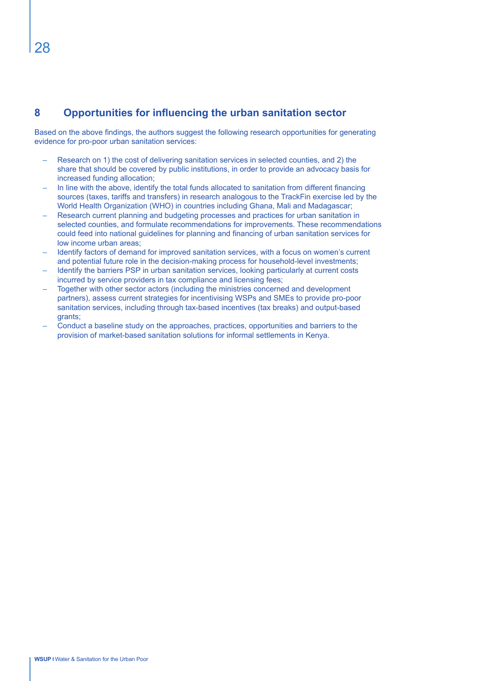# **8 Opportunities for influencing the urban sanitation sector**

Based on the above findings, the authors suggest the following research opportunities for generating evidence for pro-poor urban sanitation services:

- Research on 1) the cost of delivering sanitation services in selected counties, and 2) the share that should be covered by public institutions, in order to provide an advocacy basis for increased funding allocation;
- In line with the above, identify the total funds allocated to sanitation from different financing sources (taxes, tariffs and transfers) in research analogous to the TrackFin exercise led by the World Health Organization (WHO) in countries including Ghana, Mali and Madagascar;
- Research current planning and budgeting processes and practices for urban sanitation in selected counties, and formulate recommendations for improvements. These recommendations could feed into national guidelines for planning and financing of urban sanitation services for low income urban areas;
- Identify factors of demand for improved sanitation services, with a focus on women's current and potential future role in the decision-making process for household-level investments;
- Identify the barriers PSP in urban sanitation services, looking particularly at current costs incurred by service providers in tax compliance and licensing fees;
- Together with other sector actors (including the ministries concerned and development partners), assess current strategies for incentivising WSPs and SMEs to provide pro-poor sanitation services, including through tax-based incentives (tax breaks) and output-based grants;
- Conduct a baseline study on the approaches, practices, opportunities and barriers to the provision of market-based sanitation solutions for informal settlements in Kenya.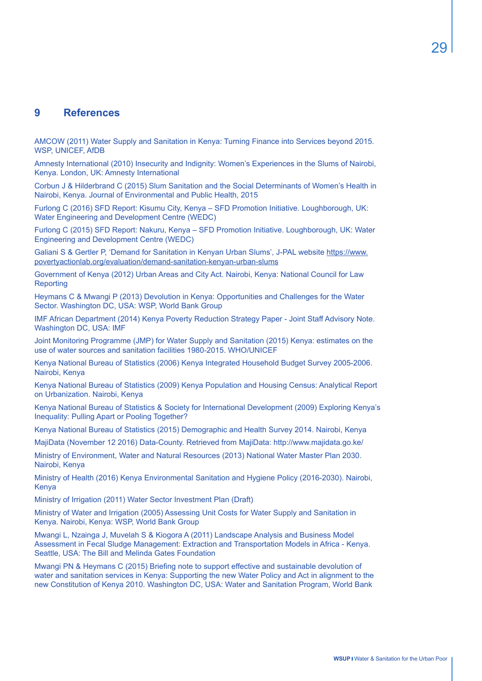# **9 References**

AMCOW (2011) Water Supply and Sanitation in Kenya: Turning Finance into Services beyond 2015. WSP, UNICEF, AfDB

Amnesty International (2010) Insecurity and Indignity: Women's Experiences in the Slums of Nairobi, Kenya. London, UK: Amnesty International

Corbun J & Hilderbrand C (2015) Slum Sanitation and the Social Determinants of Women's Health in Nairobi, Kenya. Journal of Environmental and Public Health, 2015

Furlong C (2016) SFD Report: Kisumu City, Kenya – SFD Promotion Initiative. Loughborough, UK: Water Engineering and Development Centre (WEDC)

Furlong C (2015) SFD Report: Nakuru, Kenya – SFD Promotion Initiative. Loughborough, UK: Water Engineering and Development Centre (WEDC)

Galiani S & Gertler P, 'Demand for Sanitation in Kenyan Urban Slums', J-PAL website https://www. povertyactionlab.org/evaluation/demand-sanitation-kenyan-urban-slums

Government of Kenya (2012) Urban Areas and City Act. Nairobi, Kenya: National Council for Law **Reporting** 

Heymans C & Mwangi P (2013) Devolution in Kenya: Opportunities and Challenges for the Water Sector. Washington DC, USA: WSP, World Bank Group

IMF African Department (2014) Kenya Poverty Reduction Strategy Paper - Joint Staff Advisory Note. Washington DC, USA: IMF

Joint Monitoring Programme (JMP) for Water Supply and Sanitation (2015) Kenya: estimates on the use of water sources and sanitation facilities 1980-2015. WHO/UNICEF

Kenya National Bureau of Statistics (2006) Kenya Integrated Household Budget Survey 2005-2006. Nairobi, Kenya

Kenya National Bureau of Statistics (2009) Kenya Population and Housing Census: Analytical Report on Urbanization. Nairobi, Kenya

Kenya National Bureau of Statistics & Society for International Development (2009) Exploring Kenya's Inequality: Pulling Apart or Pooling Together?

Kenya National Bureau of Statistics (2015) Demographic and Health Survey 2014. Nairobi, Kenya

MajiData (November 12 2016) Data-County. Retrieved from MajiData: http://www.majidata.go.ke/

Ministry of Environment, Water and Natural Resources (2013) National Water Master Plan 2030. Nairobi, Kenya

Ministry of Health (2016) Kenya Environmental Sanitation and Hygiene Policy (2016-2030). Nairobi, Kenya

Ministry of Irrigation (2011) Water Sector Investment Plan (Draft)

Ministry of Water and Irrigation (2005) Assessing Unit Costs for Water Supply and Sanitation in Kenya. Nairobi, Kenya: WSP, World Bank Group

Mwangi L, Nzainga J, Muvelah S & Kiogora A (2011) Landscape Analysis and Business Model Assessment in Fecal Sludge Management: Extraction and Transportation Models in Africa - Kenya. Seattle, USA: The Bill and Melinda Gates Foundation

Mwangi PN & Heymans C (2015) Briefing note to support effective and sustainable devolution of water and sanitation services in Kenya: Supporting the new Water Policy and Act in alignment to the new Constitution of Kenya 2010. Washington DC, USA: Water and Sanitation Program, World Bank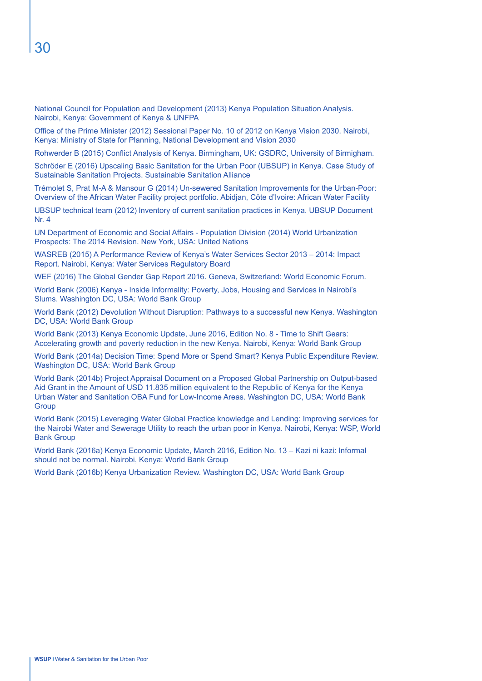National Council for Population and Development (2013) Kenya Population Situation Analysis. Nairobi, Kenya: Government of Kenya & UNFPA

Office of the Prime Minister (2012) Sessional Paper No. 10 of 2012 on Kenya Vision 2030. Nairobi, Kenya: Ministry of State for Planning, National Development and Vision 2030

Rohwerder B (2015) Conflict Analysis of Kenya. Birmingham, UK: GSDRC, University of Birmigham.

Schröder E (2016) Upscaling Basic Sanitation for the Urban Poor (UBSUP) in Kenya. Case Study of Sustainable Sanitation Projects. Sustainable Sanitation Alliance

Trémolet S, Prat M-A & Mansour G (2014) Un-sewered Sanitation Improvements for the Urban-Poor: Overview of the African Water Facility project portfolio. Abidjan, Côte d'Ivoire: African Water Facility

UBSUP technical team (2012) lnventory of current sanitation practices in Kenya. UBSUP Document Nr. 4

UN Department of Economic and Social Affairs - Population Division (2014) World Urbanization Prospects: The 2014 Revision. New York, USA: United Nations

WASREB (2015) A Performance Review of Kenya's Water Services Sector 2013 – 2014: Impact Report. Nairobi, Kenya: Water Services Regulatory Board

WEF (2016) The Global Gender Gap Report 2016. Geneva, Switzerland: World Economic Forum.

World Bank (2006) Kenya - Inside Informality: Poverty, Jobs, Housing and Services in Nairobi's Slums. Washington DC, USA: World Bank Group

World Bank (2012) Devolution Without Disruption: Pathways to a successful new Kenya. Washington DC, USA: World Bank Group

World Bank (2013) Kenya Economic Update, June 2016, Edition No. 8 - Time to Shift Gears: Accelerating growth and poverty reduction in the new Kenya. Nairobi, Kenya: World Bank Group

World Bank (2014a) Decision Time: Spend More or Spend Smart? Kenya Public Expenditure Review. Washington DC, USA: World Bank Group

World Bank (2014b) Project Appraisal Document on a Proposed Global Partnership on Output-based Aid Grant in the Amount of USD 11.835 million equivalent to the Republic of Kenya for the Kenya Urban Water and Sanitation OBA Fund for Low-Income Areas. Washington DC, USA: World Bank **Group** 

World Bank (2015) Leveraging Water Global Practice knowledge and Lending: Improving services for the Nairobi Water and Sewerage Utility to reach the urban poor in Kenya. Nairobi, Kenya: WSP, World Bank Group

World Bank (2016a) Kenya Economic Update, March 2016, Edition No. 13 – Kazi ni kazi: Informal should not be normal. Nairobi, Kenya: World Bank Group

World Bank (2016b) Kenya Urbanization Review. Washington DC, USA: World Bank Group